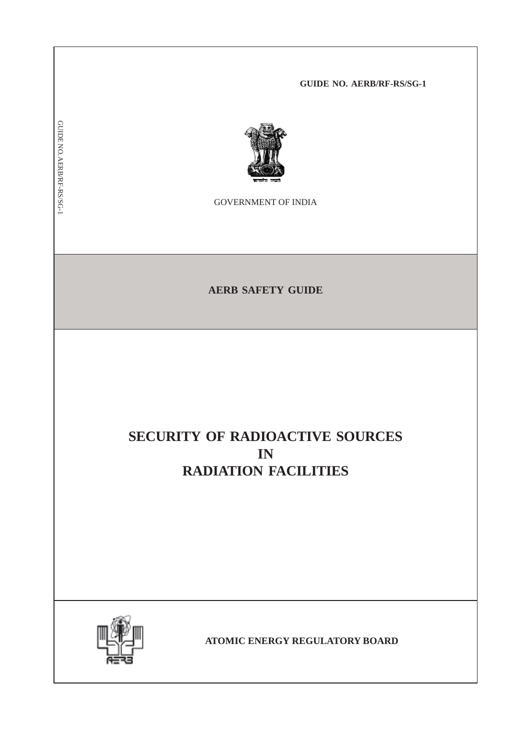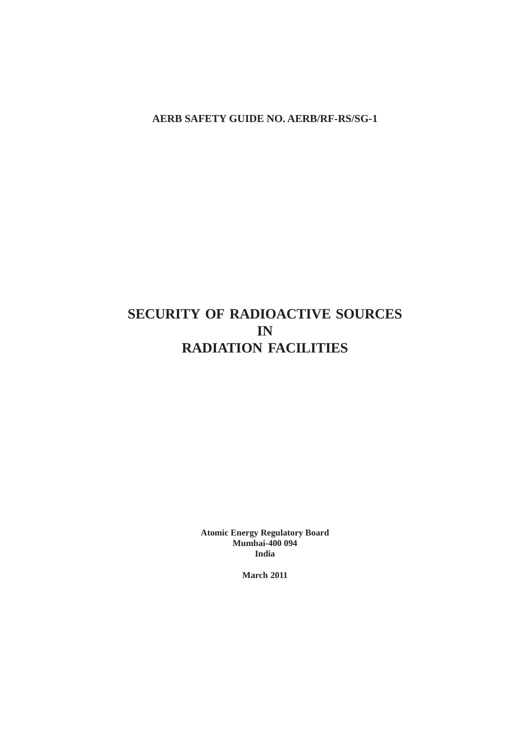**AERB SAFETY GUIDE NO. AERB/RF-RS/SG-1**

# **SECURITY OF RADIOACTIVE SOURCES IN RADIATION FACILITIES**

**Atomic Energy Regulatory Board Mumbai-400 094 India**

**March 2011**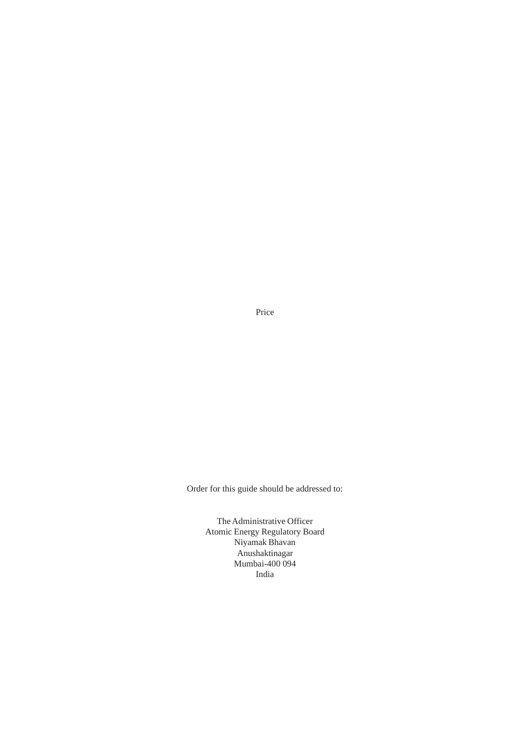Price

Order for this guide should be addressed to:

The Administrative Officer Atomic Energy Regulatory Board Niyamak Bhavan Anushaktinagar Mumbai-400 094 India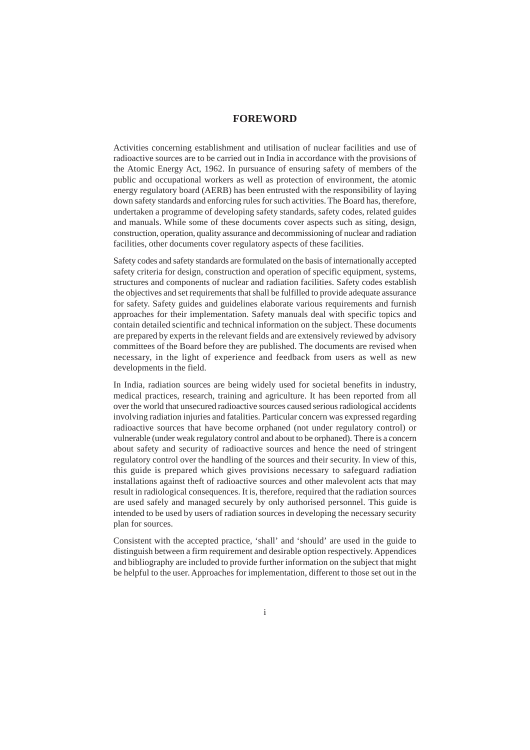## **FOREWORD**

Activities concerning establishment and utilisation of nuclear facilities and use of radioactive sources are to be carried out in India in accordance with the provisions of the Atomic Energy Act, 1962. In pursuance of ensuring safety of members of the public and occupational workers as well as protection of environment, the atomic energy regulatory board (AERB) has been entrusted with the responsibility of laying down safety standards and enforcing rules for such activities. The Board has, therefore, undertaken a programme of developing safety standards, safety codes, related guides and manuals. While some of these documents cover aspects such as siting, design, construction, operation, quality assurance and decommissioning of nuclear and radiation facilities, other documents cover regulatory aspects of these facilities.

Safety codes and safety standards are formulated on the basis of internationally accepted safety criteria for design, construction and operation of specific equipment, systems, structures and components of nuclear and radiation facilities. Safety codes establish the objectives and set requirements that shall be fulfilled to provide adequate assurance for safety. Safety guides and guidelines elaborate various requirements and furnish approaches for their implementation. Safety manuals deal with specific topics and contain detailed scientific and technical information on the subject. These documents are prepared by experts in the relevant fields and are extensively reviewed by advisory committees of the Board before they are published. The documents are revised when necessary, in the light of experience and feedback from users as well as new developments in the field.

In India, radiation sources are being widely used for societal benefits in industry, medical practices, research, training and agriculture. It has been reported from all over the world that unsecured radioactive sources caused serious radiological accidents involving radiation injuries and fatalities. Particular concern was expressed regarding radioactive sources that have become orphaned (not under regulatory control) or vulnerable (under weak regulatory control and about to be orphaned). There is a concern about safety and security of radioactive sources and hence the need of stringent regulatory control over the handling of the sources and their security. In view of this, this guide is prepared which gives provisions necessary to safeguard radiation installations against theft of radioactive sources and other malevolent acts that may result in radiological consequences. It is, therefore, required that the radiation sources are used safely and managed securely by only authorised personnel. This guide is intended to be used by users of radiation sources in developing the necessary security plan for sources.

Consistent with the accepted practice, 'shall' and 'should' are used in the guide to distinguish between a firm requirement and desirable option respectively. Appendices and bibliography are included to provide further information on the subject that might be helpful to the user. Approaches for implementation, different to those set out in the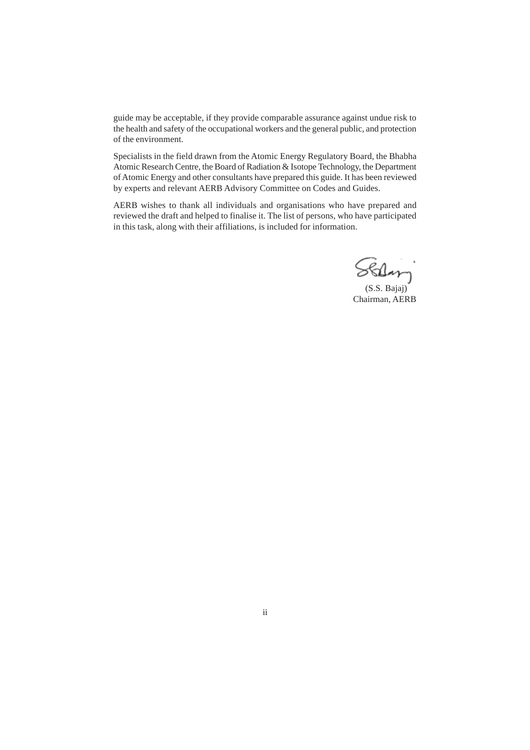guide may be acceptable, if they provide comparable assurance against undue risk to the health and safety of the occupational workers and the general public, and protection of the environment.

Specialists in the field drawn from the Atomic Energy Regulatory Board, the Bhabha Atomic Research Centre, the Board of Radiation & Isotope Technology, the Department of Atomic Energy and other consultants have prepared this guide. It has been reviewed by experts and relevant AERB Advisory Committee on Codes and Guides.

AERB wishes to thank all individuals and organisations who have prepared and reviewed the draft and helped to finalise it. The list of persons, who have participated in this task, along with their affiliations, is included for information.

Stan

 (S.S. Bajaj) Chairman, AERB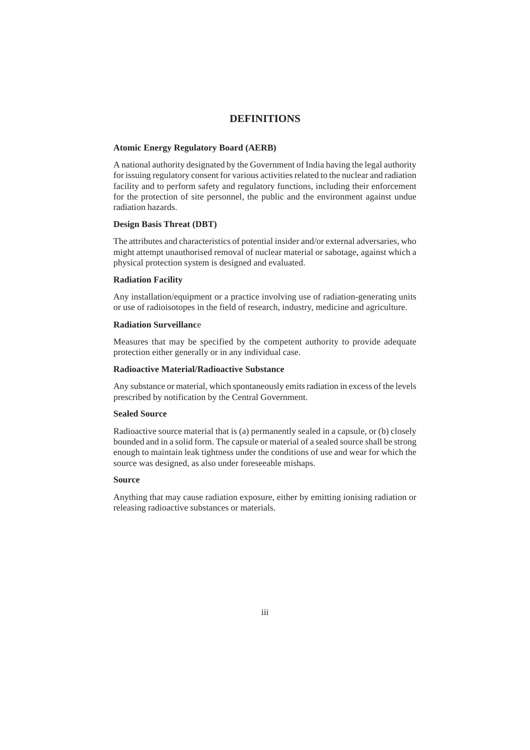## **DEFINITIONS**

#### **Atomic Energy Regulatory Board (AERB)**

A national authority designated by the Government of India having the legal authority for issuing regulatory consent for various activities related to the nuclear and radiation facility and to perform safety and regulatory functions, including their enforcement for the protection of site personnel, the public and the environment against undue radiation hazards.

#### **Design Basis Threat (DBT)**

The attributes and characteristics of potential insider and/or external adversaries, who might attempt unauthorised removal of nuclear material or sabotage, against which a physical protection system is designed and evaluated.

#### **Radiation Facility**

Any installation/equipment or a practice involving use of radiation-generating units or use of radioisotopes in the field of research, industry, medicine and agriculture.

#### **Radiation Surveillanc**e

Measures that may be specified by the competent authority to provide adequate protection either generally or in any individual case.

## **Radioactive Material/Radioactive Substance**

Any substance or material, which spontaneously emits radiation in excess of the levels prescribed by notification by the Central Government.

#### **Sealed Source**

Radioactive source material that is (a) permanently sealed in a capsule, or (b) closely bounded and in a solid form. The capsule or material of a sealed source shall be strong enough to maintain leak tightness under the conditions of use and wear for which the source was designed, as also under foreseeable mishaps.

#### **Source**

Anything that may cause radiation exposure, either by emitting ionising radiation or releasing radioactive substances or materials.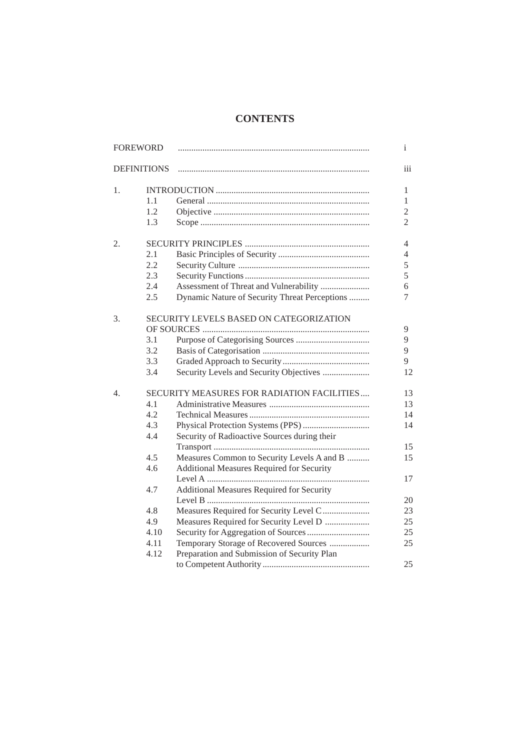## **CONTENTS**

| <b>FOREWORD</b> |                    |                                                  | $\mathbf{i}$   |
|-----------------|--------------------|--------------------------------------------------|----------------|
|                 | <b>DEFINITIONS</b> |                                                  | iii            |
| 1.              |                    |                                                  | 1              |
|                 | 1.1                |                                                  | 1              |
|                 | 1.2                |                                                  | $\overline{2}$ |
|                 | 1.3                |                                                  | $\overline{2}$ |
| 2.              |                    |                                                  | 4              |
|                 | 2.1                |                                                  | 4              |
|                 | 2.2                |                                                  | 5              |
|                 | 2.3                |                                                  | 5              |
|                 | 2.4                | Assessment of Threat and Vulnerability           | 6              |
|                 | 2.5                | Dynamic Nature of Security Threat Perceptions    | 7              |
| 3.              |                    | SECURITY LEVELS BASED ON CATEGORIZATION          | 9              |
|                 | 3.1                |                                                  | 9              |
|                 | 3.2                |                                                  | 9              |
|                 | 3.3                |                                                  | 9              |
|                 | 3.4                | Security Levels and Security Objectives          | 12             |
| 4.              |                    | SECURITY MEASURES FOR RADIATION FACILITIES       | 13             |
|                 | 4.1                |                                                  | 13             |
|                 | 4.2                |                                                  | 14             |
|                 | 4.3                |                                                  | 14             |
|                 | 4.4                | Security of Radioactive Sources during their     |                |
|                 |                    |                                                  | 15             |
|                 | 4.5                | Measures Common to Security Levels A and B       | 15             |
|                 | 4.6                | <b>Additional Measures Required for Security</b> |                |
|                 |                    |                                                  | 17             |
|                 | 4.7                | <b>Additional Measures Required for Security</b> |                |
|                 |                    |                                                  | 20             |
|                 | 4.8                | Measures Required for Security Level C           | 23             |
|                 | 4.9                | Measures Required for Security Level D           | 25             |
|                 | 4.10               |                                                  | 25             |
|                 | 4.11               | Temporary Storage of Recovered Sources           | 25             |
|                 | 4.12               | Preparation and Submission of Security Plan      |                |
|                 |                    |                                                  | 25             |
|                 |                    |                                                  |                |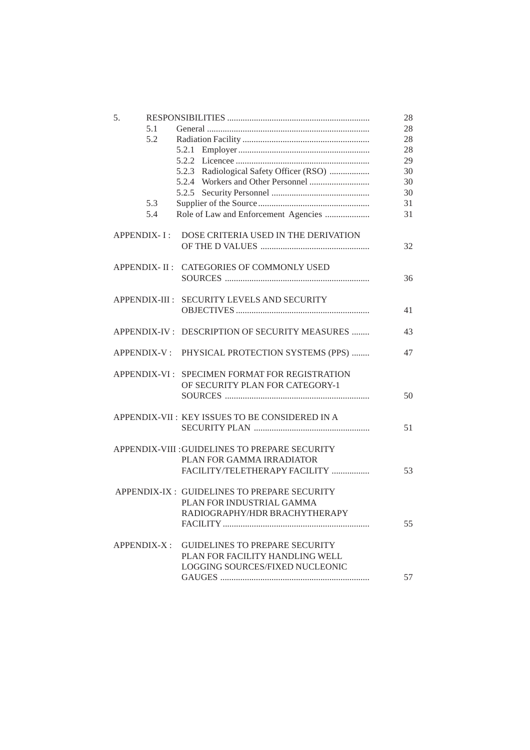| 5. |             |                                                  | 28 |
|----|-------------|--------------------------------------------------|----|
|    | 5.1         |                                                  | 28 |
|    | 5.2         |                                                  | 28 |
|    |             |                                                  | 28 |
|    |             |                                                  | 29 |
|    |             | 5.2.3 Radiological Safety Officer (RSO)          | 30 |
|    |             |                                                  | 30 |
|    |             |                                                  | 30 |
|    | 5.3         |                                                  | 31 |
|    |             |                                                  |    |
|    | 5.4         |                                                  | 31 |
|    |             | APPENDIX-I: DOSE CRITERIA USED IN THE DERIVATION |    |
|    |             |                                                  | 32 |
|    |             | APPENDIX- II : CATEGORIES OF COMMONLY USED       |    |
|    |             |                                                  | 36 |
|    |             |                                                  |    |
|    |             | APPENDIX-III : SECURITY LEVELS AND SECURITY      |    |
|    |             |                                                  | 41 |
|    |             |                                                  |    |
|    |             | APPENDIX-IV : DESCRIPTION OF SECURITY MEASURES   | 43 |
|    |             | APPENDIX-V: PHYSICAL PROTECTION SYSTEMS (PPS)    | 47 |
|    |             | APPENDIX-VI : SPECIMEN FORMAT FOR REGISTRATION   |    |
|    |             | OF SECURITY PLAN FOR CATEGORY-1                  |    |
|    |             |                                                  | 50 |
|    |             | APPENDIX-VII : KEY ISSUES TO BE CONSIDERED IN A  |    |
|    |             |                                                  | 51 |
|    |             |                                                  |    |
|    |             | APPENDIX-VIII : GUIDELINES TO PREPARE SECURITY   |    |
|    |             | PLAN FOR GAMMA IRRADIATOR                        |    |
|    |             | FACILITY/TELETHERAPY FACILITY                    | 53 |
|    |             |                                                  |    |
|    |             | APPENDIX-IX : GUIDELINES TO PREPARE SECURITY     |    |
|    |             | PLAN FOR INDUSTRIAL GAMMA                        |    |
|    |             | RADIOGRAPHY/HDR BRACHYTHERAPY                    |    |
|    |             |                                                  | 55 |
|    | APPENDIX-X: | <b>GUIDELINES TO PREPARE SECURITY</b>            |    |
|    |             | PLAN FOR FACILITY HANDLING WELL                  |    |
|    |             | LOGGING SOURCES/FIXED NUCLEONIC                  |    |
|    |             |                                                  |    |
|    |             |                                                  | 57 |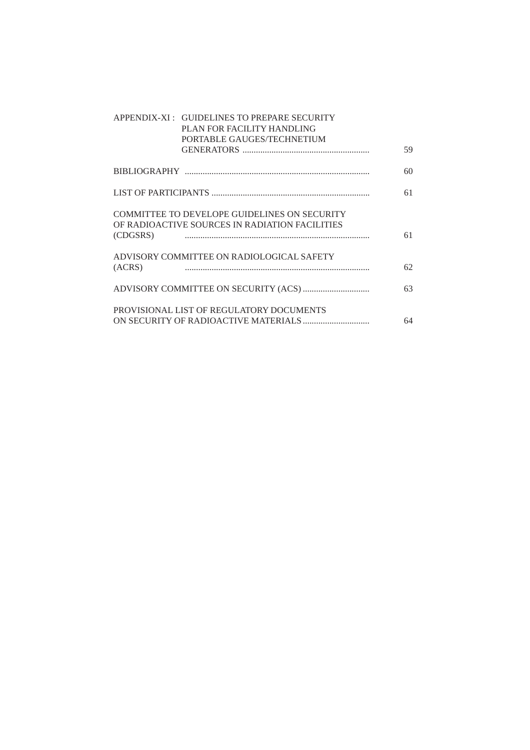|          | APPENDIX-XI : GUIDELINES TO PREPARE SECURITY<br>PLAN FOR FACILITY HANDLING<br>PORTABLE GAUGES/TECHNETIUM |    |
|----------|----------------------------------------------------------------------------------------------------------|----|
|          |                                                                                                          | 59 |
|          |                                                                                                          | 60 |
|          |                                                                                                          | 61 |
| (CDGSRS) | <b>COMMITTEE TO DEVELOPE GUIDELINES ON SECURITY</b><br>OF RADIOACTIVE SOURCES IN RADIATION FACILITIES    | 61 |
| (ACRS)   | ADVISORY COMMITTEE ON RADIOLOGICAL SAFETY                                                                | 62 |
|          |                                                                                                          | 63 |
|          | PROVISIONAL LIST OF REGULATORY DOCUMENTS                                                                 | 64 |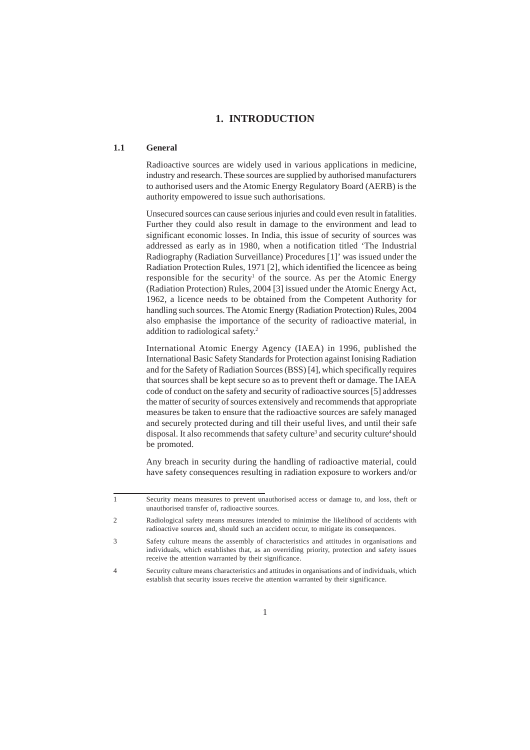## **1. INTRODUCTION**

#### **1.1 General**

Radioactive sources are widely used in various applications in medicine, industry and research. These sources are supplied by authorised manufacturers to authorised users and the Atomic Energy Regulatory Board (AERB) is the authority empowered to issue such authorisations.

Unsecured sources can cause serious injuries and could even result in fatalities. Further they could also result in damage to the environment and lead to significant economic losses. In India, this issue of security of sources was addressed as early as in 1980, when a notification titled 'The Industrial Radiography (Radiation Surveillance) Procedures [1]' was issued under the Radiation Protection Rules, 1971 [2], which identified the licencee as being responsible for the security<sup>1</sup> of the source. As per the Atomic Energy (Radiation Protection) Rules, 2004 [3] issued under the Atomic Energy Act, 1962, a licence needs to be obtained from the Competent Authority for handling such sources. The Atomic Energy (Radiation Protection) Rules, 2004 also emphasise the importance of the security of radioactive material, in addition to radiological safety.2

International Atomic Energy Agency (IAEA) in 1996, published the International Basic Safety Standards for Protection against Ionising Radiation and for the Safety of Radiation Sources (BSS) [4], which specifically requires that sources shall be kept secure so as to prevent theft or damage. The IAEA code of conduct on the safety and security of radioactive sources [5] addresses the matter of security of sources extensively and recommends that appropriate measures be taken to ensure that the radioactive sources are safely managed and securely protected during and till their useful lives, and until their safe disposal. It also recommends that safety culture<sup>3</sup> and security culture<sup>4</sup> should be promoted.

Any breach in security during the handling of radioactive material, could have safety consequences resulting in radiation exposure to workers and/or

<sup>1</sup> Security means measures to prevent unauthorised access or damage to, and loss, theft or unauthorised transfer of, radioactive sources.

<sup>2</sup> Radiological safety means measures intended to minimise the likelihood of accidents with radioactive sources and, should such an accident occur, to mitigate its consequences.

<sup>3</sup> Safety culture means the assembly of characteristics and attitudes in organisations and individuals, which establishes that, as an overriding priority, protection and safety issues receive the attention warranted by their significance.

<sup>4</sup> Security culture means characteristics and attitudes in organisations and of individuals, which establish that security issues receive the attention warranted by their significance.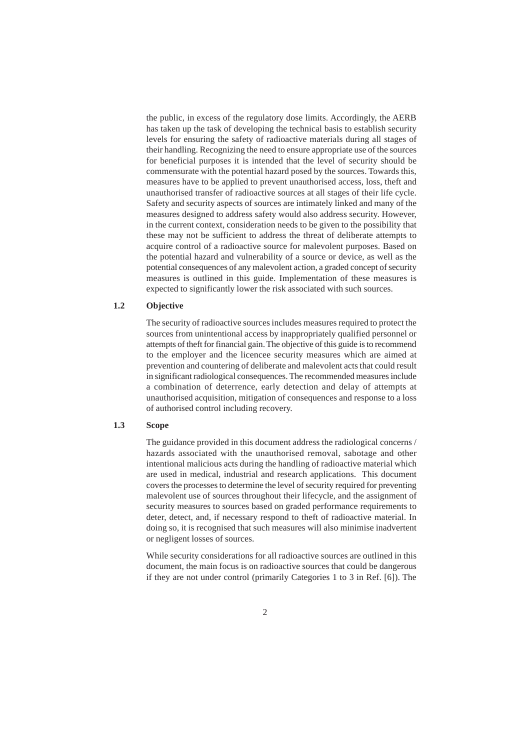the public, in excess of the regulatory dose limits. Accordingly, the AERB has taken up the task of developing the technical basis to establish security levels for ensuring the safety of radioactive materials during all stages of their handling. Recognizing the need to ensure appropriate use of the sources for beneficial purposes it is intended that the level of security should be commensurate with the potential hazard posed by the sources. Towards this, measures have to be applied to prevent unauthorised access, loss, theft and unauthorised transfer of radioactive sources at all stages of their life cycle. Safety and security aspects of sources are intimately linked and many of the measures designed to address safety would also address security. However, in the current context, consideration needs to be given to the possibility that these may not be sufficient to address the threat of deliberate attempts to acquire control of a radioactive source for malevolent purposes. Based on the potential hazard and vulnerability of a source or device, as well as the potential consequences of any malevolent action, a graded concept of security measures is outlined in this guide. Implementation of these measures is expected to significantly lower the risk associated with such sources.

#### **1.2 Objective**

The security of radioactive sources includes measures required to protect the sources from unintentional access by inappropriately qualified personnel or attempts of theft for financial gain. The objective of this guide is to recommend to the employer and the licencee security measures which are aimed at prevention and countering of deliberate and malevolent acts that could result in significant radiological consequences. The recommended measures include a combination of deterrence, early detection and delay of attempts at unauthorised acquisition, mitigation of consequences and response to a loss of authorised control including recovery.

## **1.3 Scope**

The guidance provided in this document address the radiological concerns / hazards associated with the unauthorised removal, sabotage and other intentional malicious acts during the handling of radioactive material which are used in medical, industrial and research applications. This document covers the processes to determine the level of security required for preventing malevolent use of sources throughout their lifecycle, and the assignment of security measures to sources based on graded performance requirements to deter, detect, and, if necessary respond to theft of radioactive material. In doing so, it is recognised that such measures will also minimise inadvertent or negligent losses of sources.

While security considerations for all radioactive sources are outlined in this document, the main focus is on radioactive sources that could be dangerous if they are not under control (primarily Categories 1 to 3 in Ref. [6]). The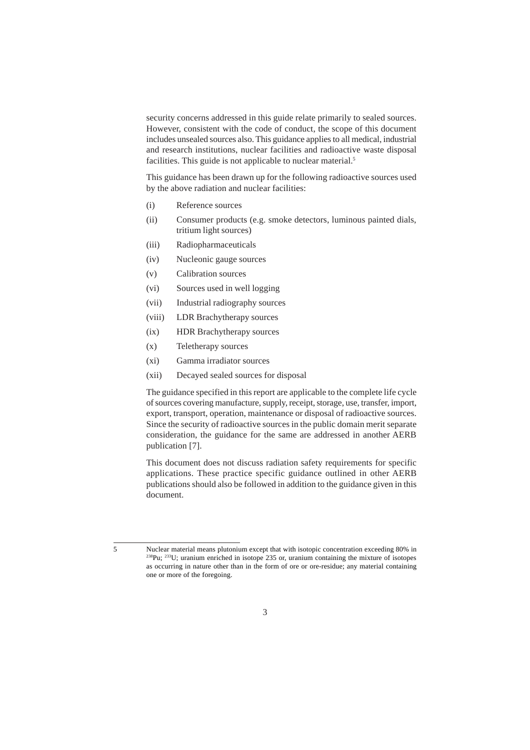security concerns addressed in this guide relate primarily to sealed sources. However, consistent with the code of conduct, the scope of this document includes unsealed sources also. This guidance applies to all medical, industrial and research institutions, nuclear facilities and radioactive waste disposal facilities. This guide is not applicable to nuclear material.<sup>5</sup>

This guidance has been drawn up for the following radioactive sources used by the above radiation and nuclear facilities:

- (i) Reference sources
- (ii) Consumer products (e.g. smoke detectors, luminous painted dials, tritium light sources)
- (iii) Radiopharmaceuticals
- (iv) Nucleonic gauge sources
- (v) Calibration sources
- (vi) Sources used in well logging
- (vii) Industrial radiography sources
- (viii) LDR Brachytherapy sources
- (ix) HDR Brachytherapy sources
- (x) Teletherapy sources
- (xi) Gamma irradiator sources
- (xii) Decayed sealed sources for disposal

The guidance specified in this report are applicable to the complete life cycle of sources covering manufacture, supply, receipt, storage, use, transfer, import, export, transport, operation, maintenance or disposal of radioactive sources. Since the security of radioactive sources in the public domain merit separate consideration, the guidance for the same are addressed in another AERB publication [7].

This document does not discuss radiation safety requirements for specific applications. These practice specific guidance outlined in other AERB publications should also be followed in addition to the guidance given in this document.

<sup>5</sup> Nuclear material means plutonium except that with isotopic concentration exceeding 80% in  $^{238}Pu$ ;  $^{233}U$ ; uranium enriched in isotope 235 or, uranium containing the mixture of isotopes as occurring in nature other than in the form of ore or ore-residue; any material containing one or more of the foregoing.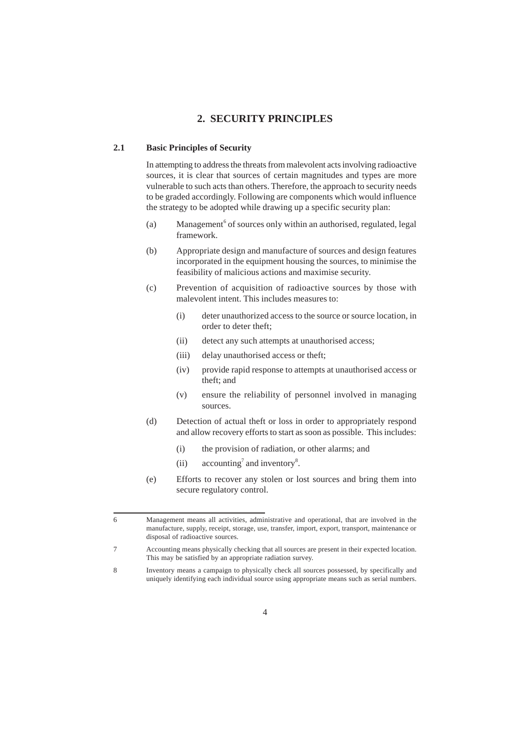## **2. SECURITY PRINCIPLES**

#### **2.1 Basic Principles of Security**

In attempting to address the threats from malevolent acts involving radioactive sources, it is clear that sources of certain magnitudes and types are more vulnerable to such acts than others. Therefore, the approach to security needs to be graded accordingly. Following are components which would influence the strategy to be adopted while drawing up a specific security plan:

- (a) Management<sup>6</sup> of sources only within an authorised, regulated, legal framework.
- (b) Appropriate design and manufacture of sources and design features incorporated in the equipment housing the sources, to minimise the feasibility of malicious actions and maximise security.
- (c) Prevention of acquisition of radioactive sources by those with malevolent intent. This includes measures to:
	- (i) deter unauthorized access to the source or source location, in order to deter theft;
	- (ii) detect any such attempts at unauthorised access;
	- (iii) delay unauthorised access or theft;
	- (iv) provide rapid response to attempts at unauthorised access or theft; and
	- (v) ensure the reliability of personnel involved in managing sources.
- (d) Detection of actual theft or loss in order to appropriately respond and allow recovery efforts to start as soon as possible. This includes:
	- (i) the provision of radiation, or other alarms; and
	- (ii) accounting<sup>7</sup> and inventory<sup>8</sup>.
- (e) Efforts to recover any stolen or lost sources and bring them into secure regulatory control.

<sup>6</sup> Management means all activities, administrative and operational, that are involved in the manufacture, supply, receipt, storage, use, transfer, import, export, transport, maintenance or disposal of radioactive sources.

<sup>7</sup> Accounting means physically checking that all sources are present in their expected location. This may be satisfied by an appropriate radiation survey.

<sup>8</sup> Inventory means a campaign to physically check all sources possessed, by specifically and uniquely identifying each individual source using appropriate means such as serial numbers.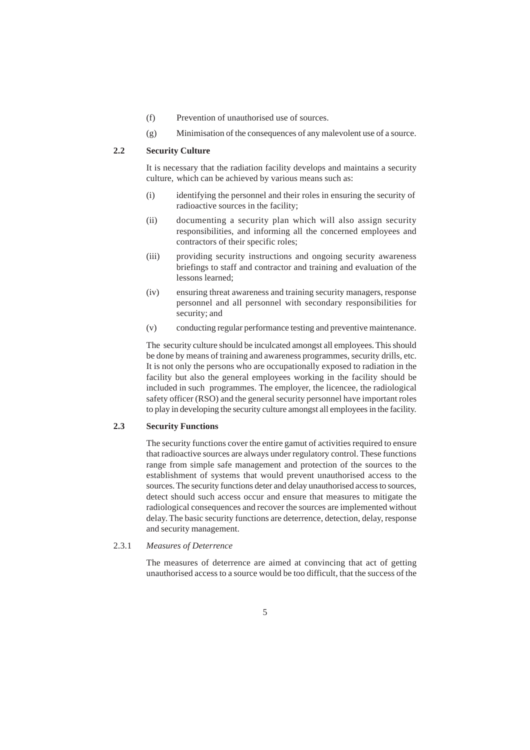- (f) Prevention of unauthorised use of sources.
- (g) Minimisation of the consequences of any malevolent use of a source.

#### **2.2 Security Culture**

It is necessary that the radiation facility develops and maintains a security culture, which can be achieved by various means such as:

- (i) identifying the personnel and their roles in ensuring the security of radioactive sources in the facility;
- (ii) documenting a security plan which will also assign security responsibilities, and informing all the concerned employees and contractors of their specific roles;
- (iii) providing security instructions and ongoing security awareness briefings to staff and contractor and training and evaluation of the lessons learned;
- (iv) ensuring threat awareness and training security managers, response personnel and all personnel with secondary responsibilities for security; and
- (v) conducting regular performance testing and preventive maintenance.

The security culture should be inculcated amongst all employees. This should be done by means of training and awareness programmes, security drills, etc. It is not only the persons who are occupationally exposed to radiation in the facility but also the general employees working in the facility should be included in such programmes. The employer, the licencee, the radiological safety officer (RSO) and the general security personnel have important roles to play in developing the security culture amongst all employees in the facility.

### **2.3 Security Functions**

The security functions cover the entire gamut of activities required to ensure that radioactive sources are always under regulatory control. These functions range from simple safe management and protection of the sources to the establishment of systems that would prevent unauthorised access to the sources. The security functions deter and delay unauthorised access to sources, detect should such access occur and ensure that measures to mitigate the radiological consequences and recover the sources are implemented without delay. The basic security functions are deterrence, detection, delay, response and security management.

#### 2.3.1 *Measures of Deterrence*

The measures of deterrence are aimed at convincing that act of getting unauthorised access to a source would be too difficult, that the success of the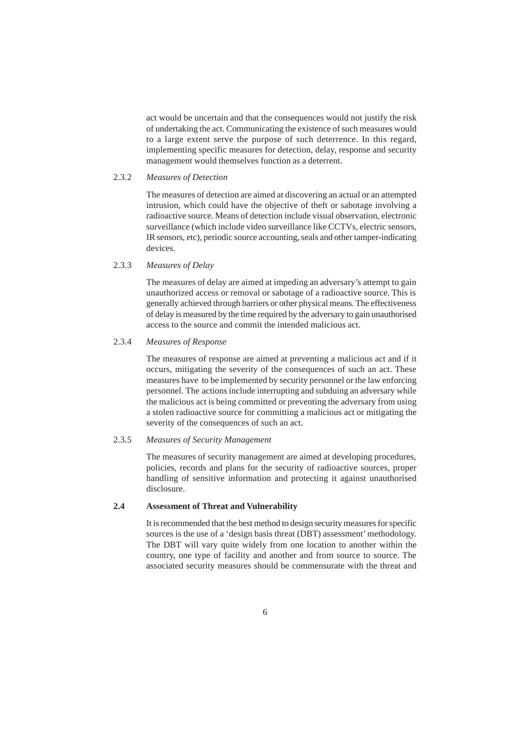act would be uncertain and that the consequences would not justify the risk of undertaking the act. Communicating the existence of such measures would to a large extent serve the purpose of such deterrence. In this regard, implementing specific measures for detection, delay, response and security management would themselves function as a deterrent.

#### 2.3.2 *Measures of Detection*

The measures of detection are aimed at discovering an actual or an attempted intrusion, which could have the objective of theft or sabotage involving a radioactive source. Means of detection include visual observation, electronic surveillance (which include video surveillance like CCTVs, electric sensors, IR sensors, etc), periodic source accounting, seals and other tamper-indicating devices.

2.3.3 *Measures of Delay*

The measures of delay are aimed at impeding an adversary's attempt to gain unauthorized access or removal or sabotage of a radioactive source. This is generally achieved through barriers or other physical means. The effectiveness of delay is measured by the time required by the adversary to gain unauthorised access to the source and commit the intended malicious act.

#### 2.3.4 *Measures of Response*

The measures of response are aimed at preventing a malicious act and if it occurs, mitigating the severity of the consequences of such an act. These measures have to be implemented by security personnel or the law enforcing personnel. The actions include interrupting and subduing an adversary while the malicious act is being committed or preventing the adversary from using a stolen radioactive source for committing a malicious act or mitigating the severity of the consequences of such an act.

#### 2.3.5 *Measures of Security Management*

The measures of security management are aimed at developing procedures, policies, records and plans for the security of radioactive sources, proper handling of sensitive information and protecting it against unauthorised disclosure.

### **2.4 Assessment of Threat and Vulnerability**

It is recommended that the best method to design security measures for specific sources is the use of a 'design basis threat (DBT) assessment' methodology. The DBT will vary quite widely from one location to another within the country, one type of facility and another and from source to source. The associated security measures should be commensurate with the threat and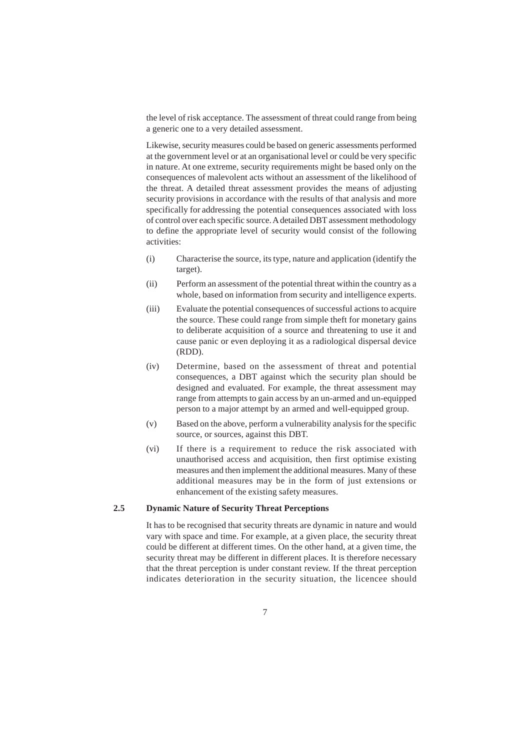the level of risk acceptance. The assessment of threat could range from being a generic one to a very detailed assessment.

Likewise, security measures could be based on generic assessments performed at the government level or at an organisational level or could be very specific in nature. At one extreme, security requirements might be based only on the consequences of malevolent acts without an assessment of the likelihood of the threat. A detailed threat assessment provides the means of adjusting security provisions in accordance with the results of that analysis and more specifically for addressing the potential consequences associated with loss of control over each specific source. A detailed DBT assessment methodology to define the appropriate level of security would consist of the following activities:

- (i) Characterise the source, its type, nature and application (identify the target).
- (ii) Perform an assessment of the potential threat within the country as a whole, based on information from security and intelligence experts.
- (iii) Evaluate the potential consequences of successful actions to acquire the source. These could range from simple theft for monetary gains to deliberate acquisition of a source and threatening to use it and cause panic or even deploying it as a radiological dispersal device (RDD).
- (iv) Determine, based on the assessment of threat and potential consequences, a DBT against which the security plan should be designed and evaluated. For example, the threat assessment may range from attempts to gain access by an un-armed and un-equipped person to a major attempt by an armed and well-equipped group.
- (v) Based on the above, perform a vulnerability analysis for the specific source, or sources, against this DBT.
- (vi) If there is a requirement to reduce the risk associated with unauthorised access and acquisition, then first optimise existing measures and then implement the additional measures. Many of these additional measures may be in the form of just extensions or enhancement of the existing safety measures.

## **2.5 Dynamic Nature of Security Threat Perceptions**

It has to be recognised that security threats are dynamic in nature and would vary with space and time. For example, at a given place, the security threat could be different at different times. On the other hand, at a given time, the security threat may be different in different places. It is therefore necessary that the threat perception is under constant review. If the threat perception indicates deterioration in the security situation, the licencee should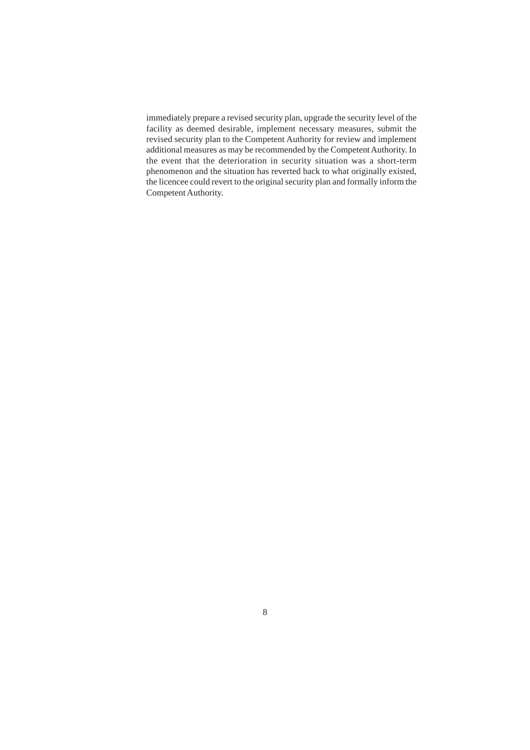immediately prepare a revised security plan, upgrade the security level of the facility as deemed desirable, implement necessary measures, submit the revised security plan to the Competent Authority for review and implement additional measures as may be recommended by the Competent Authority. In the event that the deterioration in security situation was a short-term phenomenon and the situation has reverted back to what originally existed, the licencee could revert to the original security plan and formally inform the Competent Authority.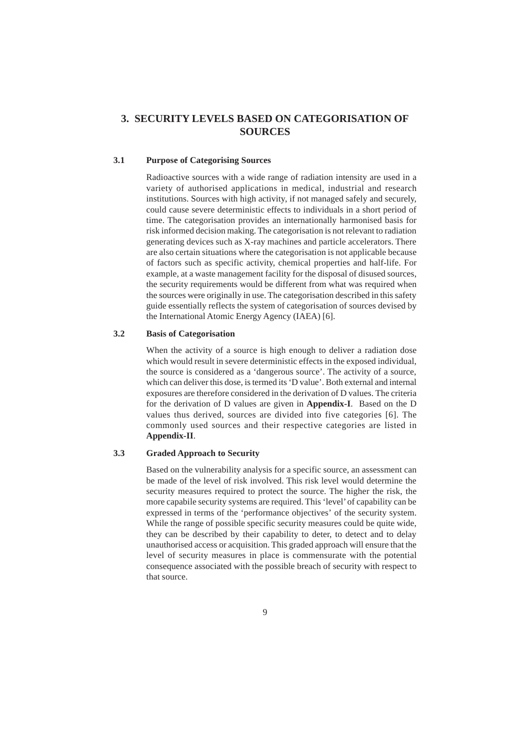## **3. SECURITY LEVELS BASED ON CATEGORISATION OF SOURCES**

## **3.1 Purpose of Categorising Sources**

Radioactive sources with a wide range of radiation intensity are used in a variety of authorised applications in medical, industrial and research institutions. Sources with high activity, if not managed safely and securely, could cause severe deterministic effects to individuals in a short period of time. The categorisation provides an internationally harmonised basis for risk informed decision making. The categorisation is not relevant to radiation generating devices such as X-ray machines and particle accelerators. There are also certain situations where the categorisation is not applicable because of factors such as specific activity, chemical properties and half-life. For example, at a waste management facility for the disposal of disused sources, the security requirements would be different from what was required when the sources were originally in use. The categorisation described in this safety guide essentially reflects the system of categorisation of sources devised by the International Atomic Energy Agency (IAEA) [6].

## **3.2 Basis of Categorisation**

When the activity of a source is high enough to deliver a radiation dose which would result in severe deterministic effects in the exposed individual, the source is considered as a 'dangerous source'. The activity of a source, which can deliver this dose, is termed its 'D value'. Both external and internal exposures are therefore considered in the derivation of D values. The criteria for the derivation of D values are given in **Appendix-I**. Based on the D values thus derived, sources are divided into five categories [6]. The commonly used sources and their respective categories are listed in **Appendix-II**.

## **3.3 Graded Approach to Security**

Based on the vulnerability analysis for a specific source, an assessment can be made of the level of risk involved. This risk level would determine the security measures required to protect the source. The higher the risk, the more capabile security systems are required. This 'level' of capability can be expressed in terms of the 'performance objectives' of the security system. While the range of possible specific security measures could be quite wide, they can be described by their capability to deter, to detect and to delay unauthorised access or acquisition. This graded approach will ensure that the level of security measures in place is commensurate with the potential consequence associated with the possible breach of security with respect to that source.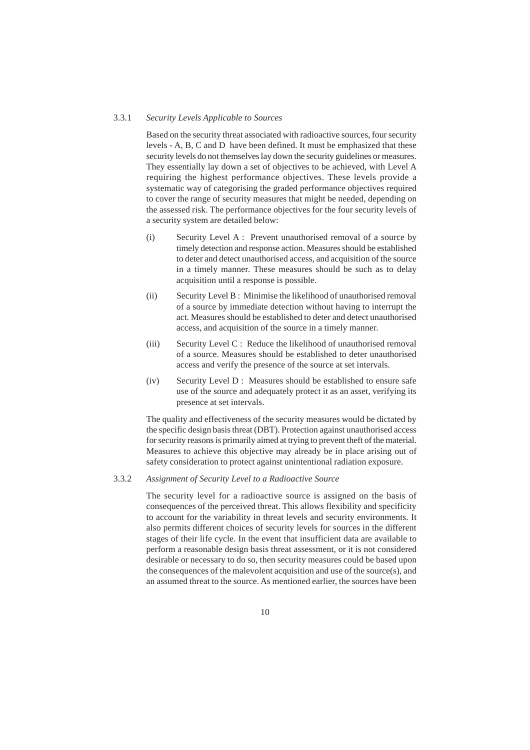#### 3.3.1 *Security Levels Applicable to Sources*

Based on the security threat associated with radioactive sources, four security levels - A, B, C and D have been defined. It must be emphasized that these security levels do not themselves lay down the security guidelines or measures. They essentially lay down a set of objectives to be achieved, with Level A requiring the highest performance objectives. These levels provide a systematic way of categorising the graded performance objectives required to cover the range of security measures that might be needed, depending on the assessed risk. The performance objectives for the four security levels of a security system are detailed below:

- (i) Security Level A : Prevent unauthorised removal of a source by timely detection and response action. Measures should be established to deter and detect unauthorised access, and acquisition of the source in a timely manner. These measures should be such as to delay acquisition until a response is possible.
- (ii) Security Level B : Minimise the likelihood of unauthorised removal of a source by immediate detection without having to interrupt the act. Measures should be established to deter and detect unauthorised access, and acquisition of the source in a timely manner.
- (iii) Security Level C : Reduce the likelihood of unauthorised removal of a source. Measures should be established to deter unauthorised access and verify the presence of the source at set intervals.
- (iv) Security Level D : Measures should be established to ensure safe use of the source and adequately protect it as an asset, verifying its presence at set intervals.

The quality and effectiveness of the security measures would be dictated by the specific design basis threat (DBT). Protection against unauthorised access for security reasons is primarily aimed at trying to prevent theft of the material. Measures to achieve this objective may already be in place arising out of safety consideration to protect against unintentional radiation exposure.

#### 3.3.2 *Assignment of Security Level to a Radioactive Source*

The security level for a radioactive source is assigned on the basis of consequences of the perceived threat. This allows flexibility and specificity to account for the variability in threat levels and security environments. It also permits different choices of security levels for sources in the different stages of their life cycle. In the event that insufficient data are available to perform a reasonable design basis threat assessment, or it is not considered desirable or necessary to do so, then security measures could be based upon the consequences of the malevolent acquisition and use of the source(s), and an assumed threat to the source. As mentioned earlier, the sources have been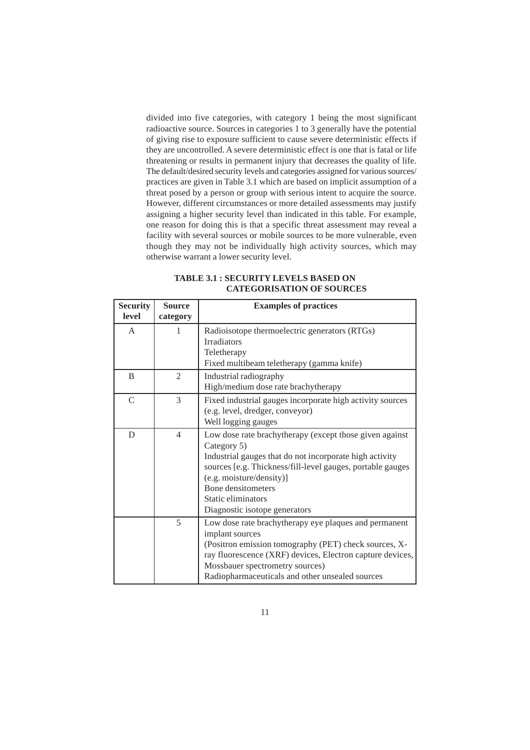divided into five categories, with category 1 being the most significant radioactive source. Sources in categories 1 to 3 generally have the potential of giving rise to exposure sufficient to cause severe deterministic effects if they are uncontrolled. A severe deterministic effect is one that is fatal or life threatening or results in permanent injury that decreases the quality of life. The default/desired security levels and categories assigned for various sources/ practices are given in Table 3.1 which are based on implicit assumption of a threat posed by a person or group with serious intent to acquire the source. However, different circumstances or more detailed assessments may justify assigning a higher security level than indicated in this table. For example, one reason for doing this is that a specific threat assessment may reveal a facility with several sources or mobile sources to be more vulnerable, even though they may not be individually high activity sources, which may otherwise warrant a lower security level.

| <b>Security</b> | <b>Source</b> | <b>Examples of practices</b>                                                                                                                                                                                                                                                                             |  |
|-----------------|---------------|----------------------------------------------------------------------------------------------------------------------------------------------------------------------------------------------------------------------------------------------------------------------------------------------------------|--|
| level           | category      |                                                                                                                                                                                                                                                                                                          |  |
| $\mathsf{A}$    | 1             | Radioisotope thermoelectric generators (RTGs)<br><b>Irradiators</b><br>Teletherapy<br>Fixed multibeam teletherapy (gamma knife)                                                                                                                                                                          |  |
| B               | 2             | Industrial radiography<br>High/medium dose rate brachytherapy                                                                                                                                                                                                                                            |  |
| $\mathcal{C}$   | 3             | Fixed industrial gauges incorporate high activity sources<br>(e.g. level, dredger, conveyor)<br>Well logging gauges                                                                                                                                                                                      |  |
| D               | 4             | Low dose rate brachytherapy (except those given against<br>Category 5)<br>Industrial gauges that do not incorporate high activity<br>sources [e.g. Thickness/fill-level gauges, portable gauges<br>(e.g. moisture/density)]<br>Bone densitometers<br>Static eliminators<br>Diagnostic isotope generators |  |
|                 | 5             | Low dose rate brachytherapy eye plaques and permanent<br>implant sources<br>(Positron emission tomography (PET) check sources, X-<br>ray fluorescence (XRF) devices, Electron capture devices,<br>Mossbauer spectrometry sources)<br>Radiopharmaceuticals and other unsealed sources                     |  |

**TABLE 3.1 : SECURITY LEVELS BASED ON CATEGORISATION OF SOURCES**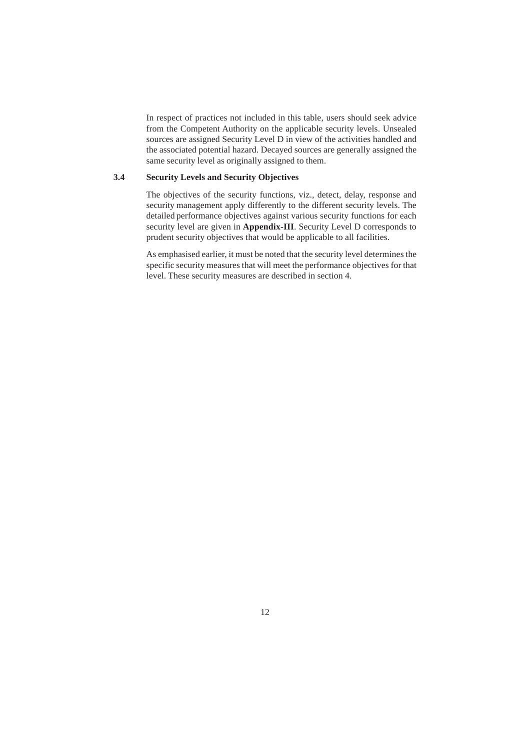In respect of practices not included in this table, users should seek advice from the Competent Authority on the applicable security levels. Unsealed sources are assigned Security Level D in view of the activities handled and the associated potential hazard. Decayed sources are generally assigned the same security level as originally assigned to them.

## **3.4 Security Levels and Security Objectives**

The objectives of the security functions, viz., detect, delay, response and security management apply differently to the different security levels. The detailed performance objectives against various security functions for each security level are given in **Appendix-III**. Security Level D corresponds to prudent security objectives that would be applicable to all facilities.

As emphasised earlier, it must be noted that the security level determines the specific security measures that will meet the performance objectives for that level. These security measures are described in section 4.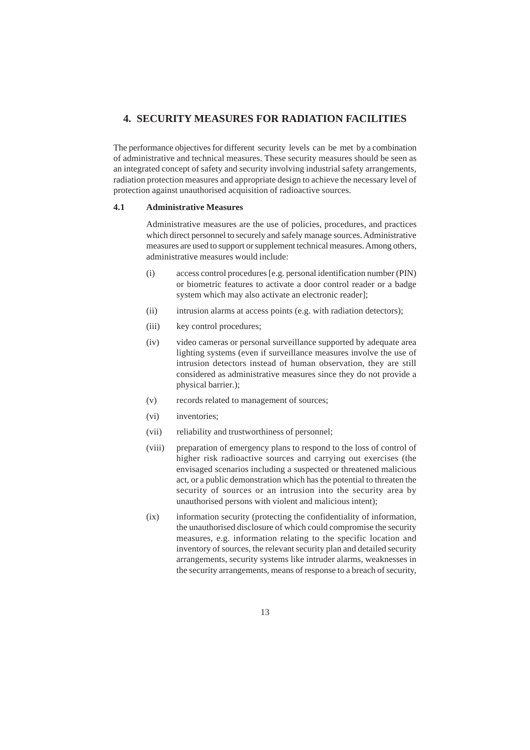## **4. SECURITY MEASURES FOR RADIATION FACILITIES**

The performance objectives for different security levels can be met by a combination of administrative and technical measures. These security measures should be seen as an integrated concept of safety and security involving industrial safety arrangements, radiation protection measures and appropriate design to achieve the necessary level of protection against unauthorised acquisition of radioactive sources.

#### **4.1 Administrative Measures**

Administrative measures are the use of policies, procedures, and practices which direct personnel to securely and safely manage sources. Administrative measures are used to support or supplement technical measures. Among others, administrative measures would include:

- (i) access control procedures [e.g. personal identification number (PIN) or biometric features to activate a door control reader or a badge system which may also activate an electronic reader];
- (ii) intrusion alarms at access points (e.g. with radiation detectors);
- (iii) key control procedures;
- (iv) video cameras or personal surveillance supported by adequate area lighting systems (even if surveillance measures involve the use of intrusion detectors instead of human observation, they are still considered as administrative measures since they do not provide a physical barrier.);
- (v) records related to management of sources;
- (vi) inventories;
- (vii) reliability and trustworthiness of personnel;
- (viii) preparation of emergency plans to respond to the loss of control of higher risk radioactive sources and carrying out exercises (the envisaged scenarios including a suspected or threatened malicious act, or a public demonstration which has the potential to threaten the security of sources or an intrusion into the security area by unauthorised persons with violent and malicious intent);
- (ix) information security (protecting the confidentiality of information, the unauthorised disclosure of which could compromise the security measures, e.g. information relating to the specific location and inventory of sources, the relevant security plan and detailed security arrangements, security systems like intruder alarms, weaknesses in the security arrangements, means of response to a breach of security,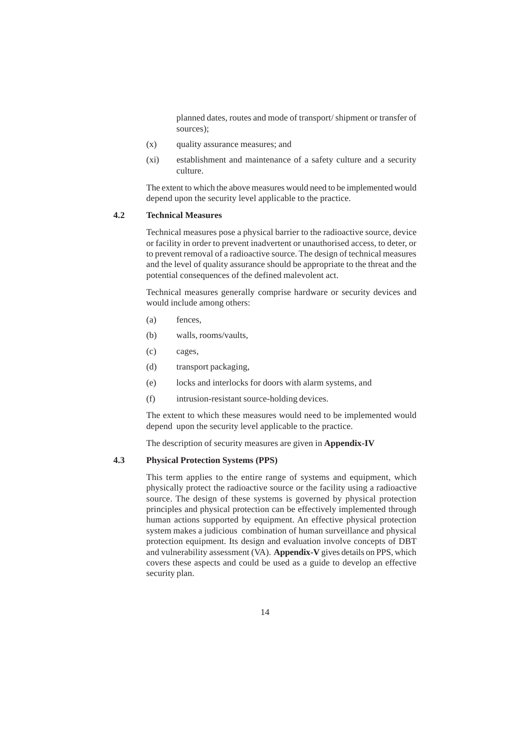planned dates, routes and mode of transport/ shipment or transfer of sources);

- (x) quality assurance measures; and
- (xi) establishment and maintenance of a safety culture and a security culture.

The extent to which the above measures would need to be implemented would depend upon the security level applicable to the practice.

## **4.2 Technical Measures**

Technical measures pose a physical barrier to the radioactive source, device or facility in order to prevent inadvertent or unauthorised access, to deter, or to prevent removal of a radioactive source. The design of technical measures and the level of quality assurance should be appropriate to the threat and the potential consequences of the defined malevolent act.

Technical measures generally comprise hardware or security devices and would include among others:

- (a) fences,
- (b) walls, rooms/vaults,
- (c) cages,
- (d) transport packaging,
- (e) locks and interlocks for doors with alarm systems, and
- (f) intrusion-resistant source-holding devices.

The extent to which these measures would need to be implemented would depend upon the security level applicable to the practice.

The description of security measures are given in **Appendix-IV**

#### **4.3 Physical Protection Systems (PPS)**

This term applies to the entire range of systems and equipment, which physically protect the radioactive source or the facility using a radioactive source. The design of these systems is governed by physical protection principles and physical protection can be effectively implemented through human actions supported by equipment. An effective physical protection system makes a judicious combination of human surveillance and physical protection equipment. Its design and evaluation involve concepts of DBT and vulnerability assessment (VA). **Appendix-V** gives details on PPS, which covers these aspects and could be used as a guide to develop an effective security plan.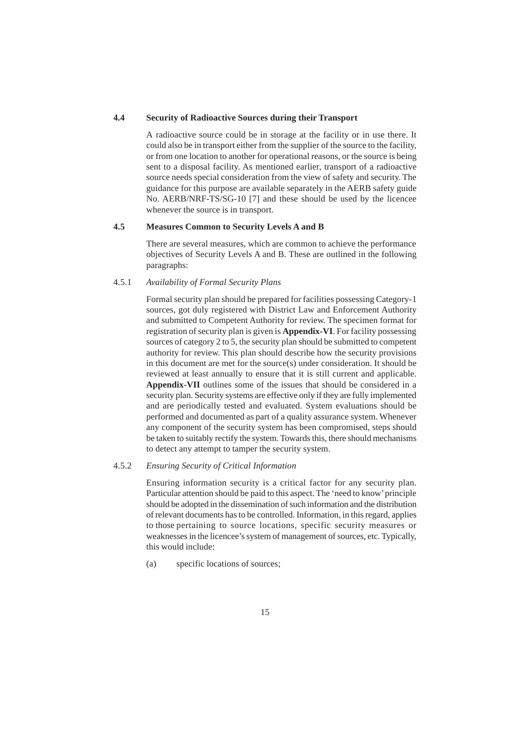#### **4.4 Security of Radioactive Sources during their Transport**

A radioactive source could be in storage at the facility or in use there. It could also be in transport either from the supplier of the source to the facility, or from one location to another for operational reasons, or the source is being sent to a disposal facility. As mentioned earlier, transport of a radioactive source needs special consideration from the view of safety and security. The guidance for this purpose are available separately in the AERB safety guide No. AERB/NRF-TS/SG-10 [7] and these should be used by the licencee whenever the source is in transport.

#### **4.5 Measures Common to Security Levels A and B**

There are several measures, which are common to achieve the performance objectives of Security Levels A and B. These are outlined in the following paragraphs:

#### 4.5.1 *Availability of Formal Security Plans*

Formal security plan should be prepared for facilities possessing Category-1 sources, got duly registered with District Law and Enforcement Authority and submitted to Competent Authority for review. The specimen format for registration of security plan is given is **Appendix-VI**. For facility possessing sources of category 2 to 5, the security plan should be submitted to competent authority for review. This plan should describe how the security provisions in this document are met for the source(s) under consideration. It should be reviewed at least annually to ensure that it is still current and applicable. **Appendix-VII** outlines some of the issues that should be considered in a security plan. Security systems are effective only if they are fully implemented and are periodically tested and evaluated. System evaluations should be performed and documented as part of a quality assurance system. Whenever any component of the security system has been compromised, steps should be taken to suitably rectify the system. Towards this, there should mechanisms to detect any attempt to tamper the security system.

## 4.5.2 *Ensuring Security of Critical Information*

Ensuring information security is a critical factor for any security plan. Particular attention should be paid to this aspect. The 'need to know' principle should be adopted in the dissemination of such information and the distribution of relevant documents has to be controlled. Information, in this regard, applies to those pertaining to source locations, specific security measures or weaknesses in the licencee's system of management of sources, etc. Typically, this would include:

(a) specific locations of sources;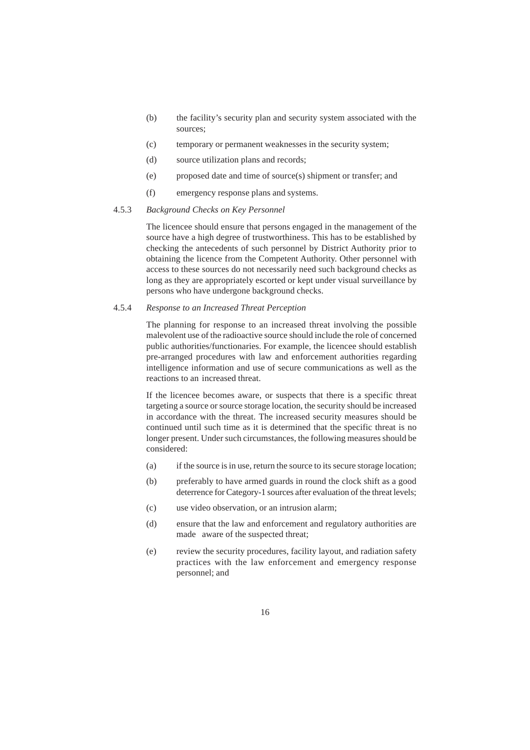- (b) the facility's security plan and security system associated with the sources;
- (c) temporary or permanent weaknesses in the security system;
- (d) source utilization plans and records;
- (e) proposed date and time of source(s) shipment or transfer; and
- (f) emergency response plans and systems.

## 4.5.3 *Background Checks on Key Personnel*

The licencee should ensure that persons engaged in the management of the source have a high degree of trustworthiness. This has to be established by checking the antecedents of such personnel by District Authority prior to obtaining the licence from the Competent Authority. Other personnel with access to these sources do not necessarily need such background checks as long as they are appropriately escorted or kept under visual surveillance by persons who have undergone background checks.

## 4.5.4 *Response to an Increased Threat Perception*

The planning for response to an increased threat involving the possible malevolent use of the radioactive source should include the role of concerned public authorities/functionaries. For example, the licencee should establish pre-arranged procedures with law and enforcement authorities regarding intelligence information and use of secure communications as well as the reactions to an increased threat.

If the licencee becomes aware, or suspects that there is a specific threat targeting a source or source storage location, the security should be increased in accordance with the threat. The increased security measures should be continued until such time as it is determined that the specific threat is no longer present. Under such circumstances, the following measures should be considered:

- (a) if the source is in use, return the source to its secure storage location;
- (b) preferably to have armed guards in round the clock shift as a good deterrence for Category-1 sources after evaluation of the threat levels;
- (c) use video observation, or an intrusion alarm;
- (d) ensure that the law and enforcement and regulatory authorities are made aware of the suspected threat;
- (e) review the security procedures, facility layout, and radiation safety practices with the law enforcement and emergency response personnel; and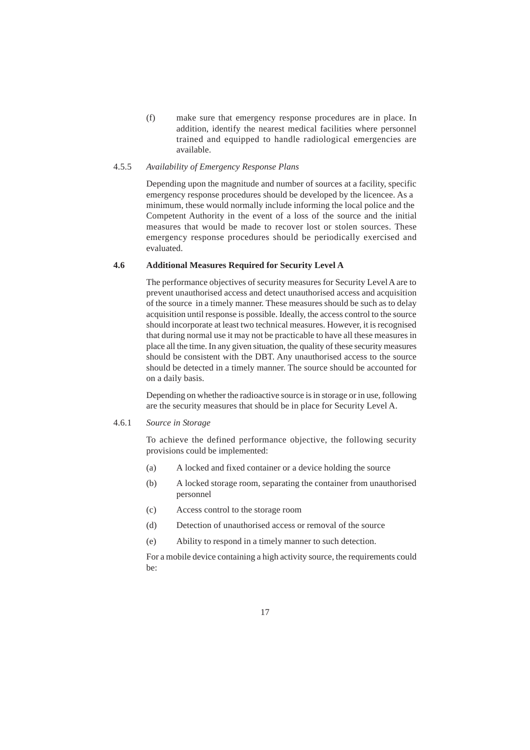(f) make sure that emergency response procedures are in place. In addition, identify the nearest medical facilities where personnel trained and equipped to handle radiological emergencies are available.

## 4.5.5 *Availability of Emergency Response Plans*

Depending upon the magnitude and number of sources at a facility, specific emergency response procedures should be developed by the licencee. As a minimum, these would normally include informing the local police and the Competent Authority in the event of a loss of the source and the initial measures that would be made to recover lost or stolen sources. These emergency response procedures should be periodically exercised and evaluated.

#### **4.6 Additional Measures Required for Security Level A**

The performance objectives of security measures for Security Level A are to prevent unauthorised access and detect unauthorised access and acquisition of the source in a timely manner. These measures should be such as to delay acquisition until response is possible. Ideally, the access control to the source should incorporate at least two technical measures. However, it is recognised that during normal use it may not be practicable to have all these measures in place all the time. In any given situation, the quality of these security measures should be consistent with the DBT. Any unauthorised access to the source should be detected in a timely manner. The source should be accounted for on a daily basis.

Depending on whether the radioactive source is in storage or in use, following are the security measures that should be in place for Security Level A.

4.6.1 *Source in Storage*

To achieve the defined performance objective, the following security provisions could be implemented:

- (a) A locked and fixed container or a device holding the source
- (b) A locked storage room, separating the container from unauthorised personnel
- (c) Access control to the storage room
- (d) Detection of unauthorised access or removal of the source
- (e) Ability to respond in a timely manner to such detection.

For a mobile device containing a high activity source, the requirements could be: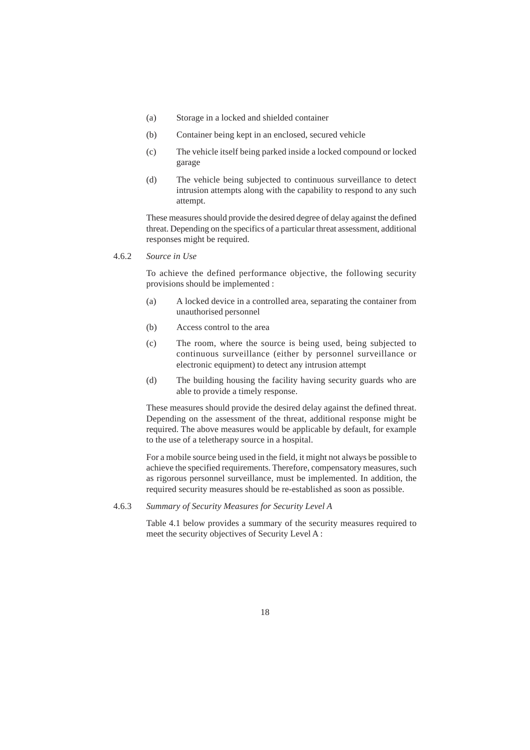- (a) Storage in a locked and shielded container
- (b) Container being kept in an enclosed, secured vehicle
- (c) The vehicle itself being parked inside a locked compound or locked garage
- (d) The vehicle being subjected to continuous surveillance to detect intrusion attempts along with the capability to respond to any such attempt.

These measures should provide the desired degree of delay against the defined threat. Depending on the specifics of a particular threat assessment, additional responses might be required.

4.6.2 *Source in Use*

To achieve the defined performance objective, the following security provisions should be implemented :

- (a) A locked device in a controlled area, separating the container from unauthorised personnel
- (b) Access control to the area
- (c) The room, where the source is being used, being subjected to continuous surveillance (either by personnel surveillance or electronic equipment) to detect any intrusion attempt
- (d) The building housing the facility having security guards who are able to provide a timely response.

These measures should provide the desired delay against the defined threat. Depending on the assessment of the threat, additional response might be required. The above measures would be applicable by default, for example to the use of a teletherapy source in a hospital.

For a mobile source being used in the field, it might not always be possible to achieve the specified requirements. Therefore, compensatory measures, such as rigorous personnel surveillance, must be implemented. In addition, the required security measures should be re-established as soon as possible.

### 4.6.3 *Summary of Security Measures for Security Level A*

Table 4.1 below provides a summary of the security measures required to meet the security objectives of Security Level A :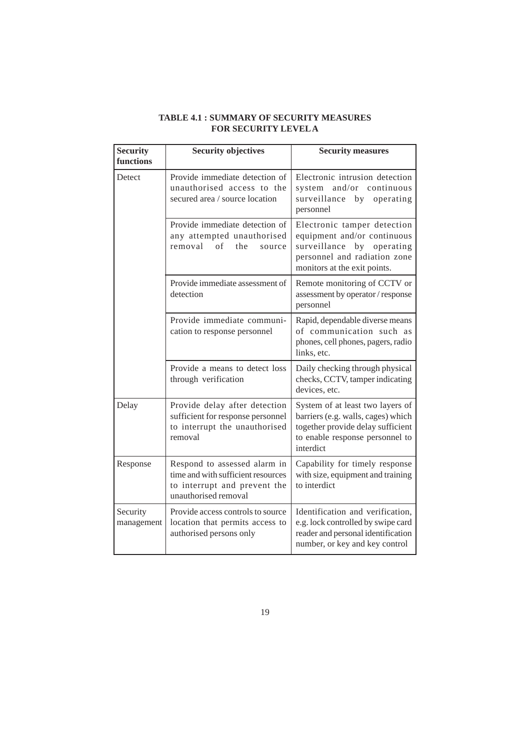| <b>Security</b><br>functions | <b>Security objectives</b>                                                                                                 | <b>Security measures</b>                                                                                                                                      |  |
|------------------------------|----------------------------------------------------------------------------------------------------------------------------|---------------------------------------------------------------------------------------------------------------------------------------------------------------|--|
| Detect                       | Provide immediate detection of<br>unauthorised access to the<br>secured area / source location                             | Electronic intrusion detection<br>and/or continuous<br>system<br>surveillance by<br>operating<br>personnel                                                    |  |
|                              | Provide immediate detection of<br>any attempted unauthorised<br>removal<br>of<br>the<br>source                             | Electronic tamper detection<br>equipment and/or continuous<br>surveillance<br>operating<br>by<br>personnel and radiation zone<br>monitors at the exit points. |  |
|                              | Provide immediate assessment of<br>detection                                                                               | Remote monitoring of CCTV or<br>assessment by operator / response<br>personnel                                                                                |  |
|                              | Provide immediate communi-<br>cation to response personnel                                                                 | Rapid, dependable diverse means<br>of communication such as<br>phones, cell phones, pagers, radio<br>links, etc.                                              |  |
|                              | Provide a means to detect loss<br>through verification                                                                     | Daily checking through physical<br>checks, CCTV, tamper indicating<br>devices, etc.                                                                           |  |
| Delay                        | Provide delay after detection<br>sufficient for response personnel<br>to interrupt the unauthorised<br>removal             | System of at least two layers of<br>barriers (e.g. walls, cages) which<br>together provide delay sufficient<br>to enable response personnel to<br>interdict   |  |
| Response                     | Respond to assessed alarm in<br>time and with sufficient resources<br>to interrupt and prevent the<br>unauthorised removal | Capability for timely response<br>with size, equipment and training<br>to interdict                                                                           |  |
| Security<br>management       | Provide access controls to source<br>location that permits access to<br>authorised persons only                            | Identification and verification,<br>e.g. lock controlled by swipe card<br>reader and personal identification<br>number, or key and key control                |  |

## **TABLE 4.1 : SUMMARY OF SECURITY MEASURES FOR SECURITY LEVEL A**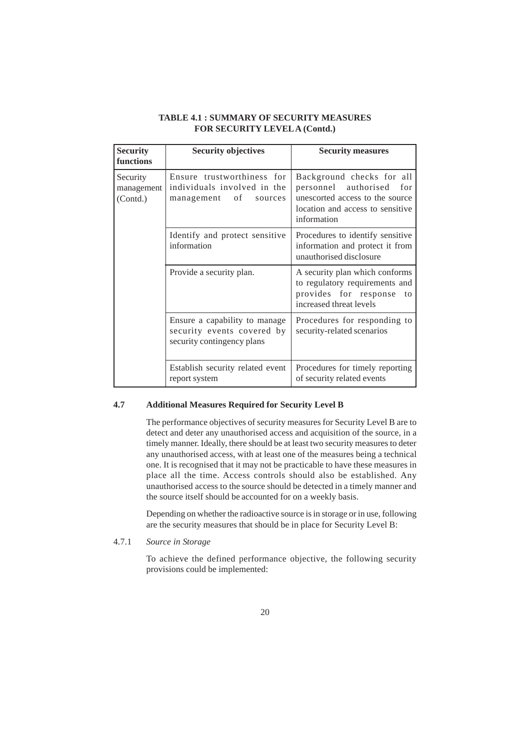| <b>Security</b><br>functions       | <b>Security objectives</b>                                                                | <b>Security measures</b>                                                                                                                       |
|------------------------------------|-------------------------------------------------------------------------------------------|------------------------------------------------------------------------------------------------------------------------------------------------|
| Security<br>management<br>(Contd.) | Ensure trustworthiness for<br>individuals involved in the<br>οf<br>management<br>sources  | Background checks for all<br>personnel authorised<br>for<br>unescorted access to the source<br>location and access to sensitive<br>information |
|                                    | Identify and protect sensitive<br>information                                             | Procedures to identify sensitive<br>information and protect it from<br>unauthorised disclosure                                                 |
|                                    | Provide a security plan.                                                                  | A security plan which conforms<br>to regulatory requirements and<br>provides for response<br>to<br>increased threat levels                     |
|                                    | Ensure a capability to manage<br>security events covered by<br>security contingency plans | Procedures for responding to<br>security-related scenarios                                                                                     |
|                                    | Establish security related event<br>report system                                         | Procedures for timely reporting<br>of security related events                                                                                  |

## **TABLE 4.1 : SUMMARY OF SECURITY MEASURES FOR SECURITY LEVEL A (Contd.)**

#### **4.7 Additional Measures Required for Security Level B**

The performance objectives of security measures for Security Level B are to detect and deter any unauthorised access and acquisition of the source, in a timely manner. Ideally, there should be at least two security measures to deter any unauthorised access, with at least one of the measures being a technical one. It is recognised that it may not be practicable to have these measures in place all the time. Access controls should also be established. Any unauthorised access to the source should be detected in a timely manner and the source itself should be accounted for on a weekly basis.

Depending on whether the radioactive source is in storage or in use, following are the security measures that should be in place for Security Level B:

4.7.1 *Source in Storage*

To achieve the defined performance objective, the following security provisions could be implemented: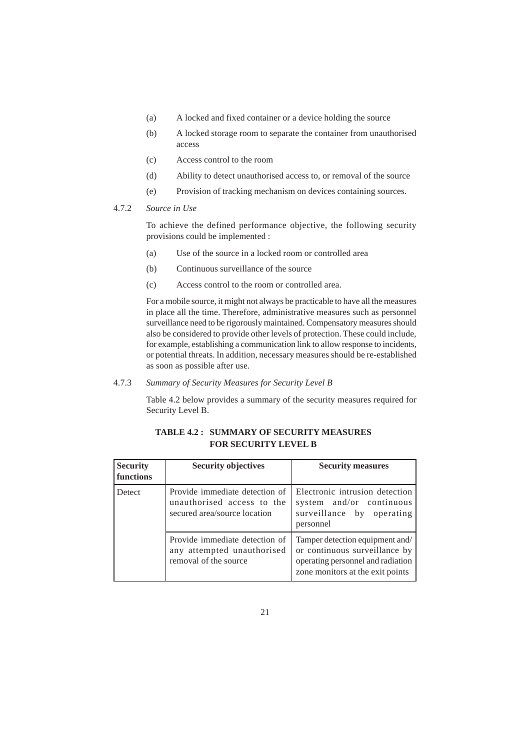- (a) A locked and fixed container or a device holding the source
- (b) A locked storage room to separate the container from unauthorised access
- (c) Access control to the room
- (d) Ability to detect unauthorised access to, or removal of the source
- (e) Provision of tracking mechanism on devices containing sources.

#### 4.7.2 *Source in Use*

To achieve the defined performance objective, the following security provisions could be implemented :

- (a) Use of the source in a locked room or controlled area
- (b) Continuous surveillance of the source
- (c) Access control to the room or controlled area.

For a mobile source, it might not always be practicable to have all the measures in place all the time. Therefore, administrative measures such as personnel surveillance need to be rigorously maintained. Compensatory measures should also be considered to provide other levels of protection. These could include, for example, establishing a communication link to allow response to incidents, or potential threats. In addition, necessary measures should be re-established as soon as possible after use.

## 4.7.3 *Summary of Security Measures for Security Level B*

Table 4.2 below provides a summary of the security measures required for Security Level B.

| <b>Security</b><br>functions | <b>Security objectives</b>                                                                   | <b>Security measures</b>                                                                                                                  |
|------------------------------|----------------------------------------------------------------------------------------------|-------------------------------------------------------------------------------------------------------------------------------------------|
| <b>Detect</b>                | Provide immediate detection of<br>unauthorised access to the<br>secured area/source location | Electronic intrusion detection<br>system and/or continuous<br>surveillance by operating<br>personnel                                      |
|                              | Provide immediate detection of<br>any attempted unauthorised<br>removal of the source        | Tamper detection equipment and/<br>or continuous surveillance by<br>operating personnel and radiation<br>zone monitors at the exit points |

## **TABLE 4.2 : SUMMARY OF SECURITY MEASURES FOR SECURITY LEVEL B**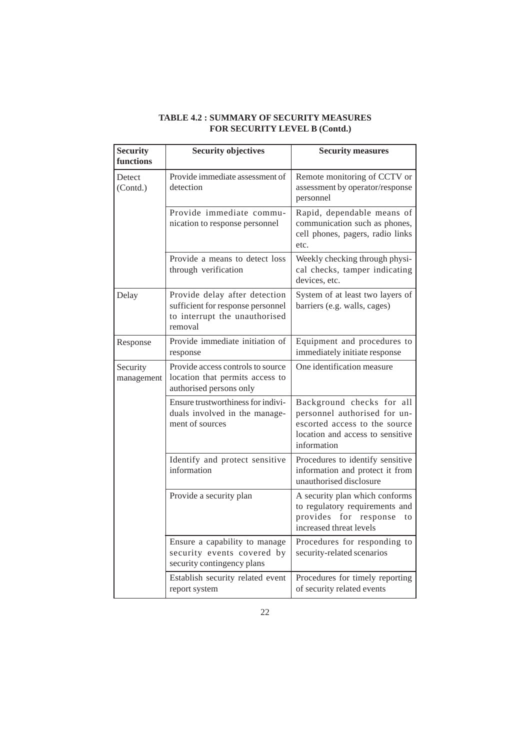| <b>Security</b><br>functions | <b>Security objectives</b>                                                                                     | <b>Security measures</b>                                                                                                                      |
|------------------------------|----------------------------------------------------------------------------------------------------------------|-----------------------------------------------------------------------------------------------------------------------------------------------|
| Detect<br>(Contd.)           | Provide immediate assessment of<br>detection                                                                   | Remote monitoring of CCTV or<br>assessment by operator/response<br>personnel                                                                  |
|                              | Provide immediate commu-<br>nication to response personnel                                                     | Rapid, dependable means of<br>communication such as phones,<br>cell phones, pagers, radio links<br>etc.                                       |
|                              | Provide a means to detect loss<br>through verification                                                         | Weekly checking through physi-<br>cal checks, tamper indicating<br>devices, etc.                                                              |
| Delay                        | Provide delay after detection<br>sufficient for response personnel<br>to interrupt the unauthorised<br>removal | System of at least two layers of<br>barriers (e.g. walls, cages)                                                                              |
| Response                     | Provide immediate initiation of<br>response                                                                    | Equipment and procedures to<br>immediately initiate response                                                                                  |
| Security<br>management       | Provide access controls to source<br>location that permits access to<br>authorised persons only                | One identification measure                                                                                                                    |
|                              | Ensure trustworthiness for indivi-<br>duals involved in the manage-<br>ment of sources                         | Background checks for all<br>personnel authorised for un-<br>escorted access to the source<br>location and access to sensitive<br>information |
|                              | Identify and protect sensitive<br>information                                                                  | Procedures to identify sensitive<br>information and protect it from<br>unauthorised disclosure                                                |
|                              | Provide a security plan                                                                                        | A security plan which conforms<br>to regulatory requirements and<br>provides<br>for<br>response<br>to<br>increased threat levels              |
|                              | Ensure a capability to manage<br>security events covered by<br>security contingency plans                      | Procedures for responding to<br>security-related scenarios                                                                                    |
|                              | Establish security related event<br>report system                                                              | Procedures for timely reporting<br>of security related events                                                                                 |

## **TABLE 4.2 : SUMMARY OF SECURITY MEASURES FOR SECURITY LEVEL B (Contd.)**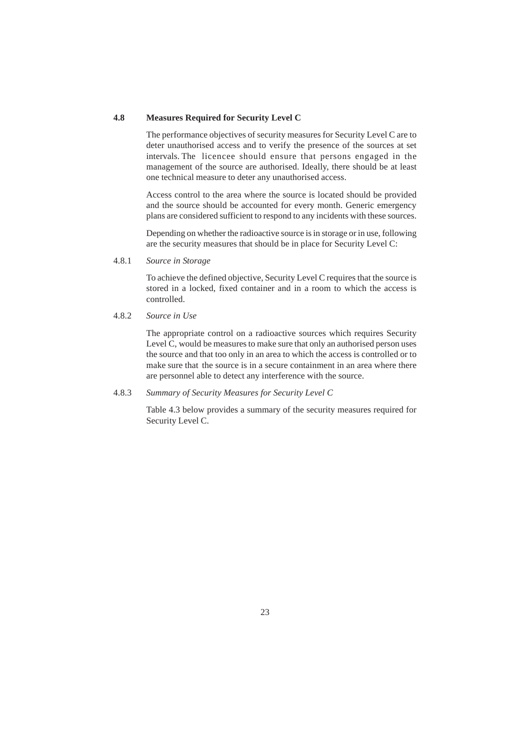### **4.8 Measures Required for Security Level C**

The performance objectives of security measures for Security Level C are to deter unauthorised access and to verify the presence of the sources at set intervals. The licencee should ensure that persons engaged in the management of the source are authorised. Ideally, there should be at least one technical measure to deter any unauthorised access.

Access control to the area where the source is located should be provided and the source should be accounted for every month. Generic emergency plans are considered sufficient to respond to any incidents with these sources.

Depending on whether the radioactive source is in storage or in use, following are the security measures that should be in place for Security Level C:

4.8.1 *Source in Storage*

To achieve the defined objective, Security Level C requires that the source is stored in a locked, fixed container and in a room to which the access is controlled.

4.8.2 *Source in Use*

The appropriate control on a radioactive sources which requires Security Level C, would be measures to make sure that only an authorised person uses the source and that too only in an area to which the access is controlled or to make sure that the source is in a secure containment in an area where there are personnel able to detect any interference with the source.

## 4.8.3 *Summary of Security Measures for Security Level C*

Table 4.3 below provides a summary of the security measures required for Security Level C.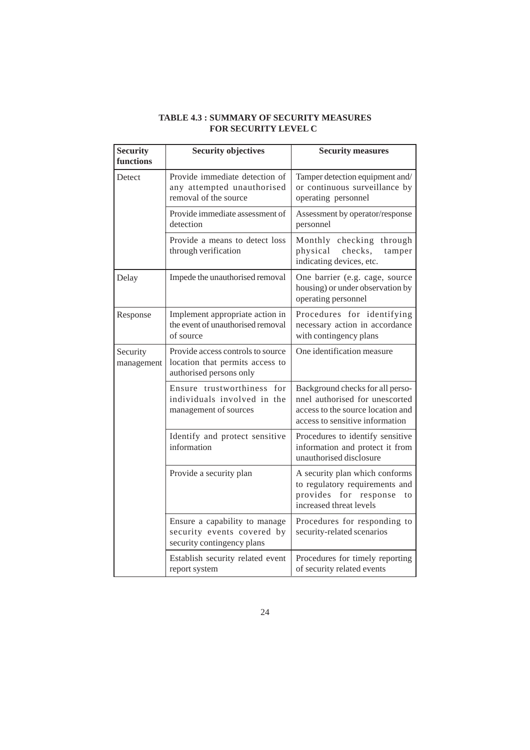| <b>TABLE 4.3 : SUMMARY OF SECURITY MEASURES</b> |
|-------------------------------------------------|
| <b>FOR SECURITY LEVEL C</b>                     |

| <b>Security</b><br>functions | <b>Security objectives</b>                                                                      | <b>Security measures</b>                                                                                                                   |  |
|------------------------------|-------------------------------------------------------------------------------------------------|--------------------------------------------------------------------------------------------------------------------------------------------|--|
| Detect                       | Provide immediate detection of<br>any attempted unauthorised<br>removal of the source           | Tamper detection equipment and/<br>or continuous surveillance by<br>operating personnel                                                    |  |
|                              | Provide immediate assessment of<br>detection                                                    | Assessment by operator/response<br>personnel                                                                                               |  |
|                              | Provide a means to detect loss<br>through verification                                          | Monthly checking through<br>physical<br>checks,<br>tamper<br>indicating devices, etc.                                                      |  |
| Delay                        | Impede the unauthorised removal                                                                 | One barrier (e.g. cage, source<br>housing) or under observation by<br>operating personnel                                                  |  |
| Response                     | Implement appropriate action in<br>the event of unauthorised removal<br>of source               | Procedures for identifying<br>necessary action in accordance<br>with contingency plans                                                     |  |
| Security<br>management       | Provide access controls to source<br>location that permits access to<br>authorised persons only | One identification measure                                                                                                                 |  |
|                              | Ensure trustworthiness for<br>individuals involved in the<br>management of sources              | Background checks for all perso-<br>nnel authorised for unescorted<br>access to the source location and<br>access to sensitive information |  |
|                              | Identify and protect sensitive<br>information                                                   | Procedures to identify sensitive<br>information and protect it from<br>unauthorised disclosure                                             |  |
|                              | Provide a security plan                                                                         | A security plan which conforms<br>to regulatory requirements and<br>provides<br>for response<br>to<br>increased threat levels              |  |
|                              | Ensure a capability to manage<br>security events covered by<br>security contingency plans       | Procedures for responding to<br>security-related scenarios                                                                                 |  |
|                              | Establish security related event<br>report system                                               | Procedures for timely reporting<br>of security related events                                                                              |  |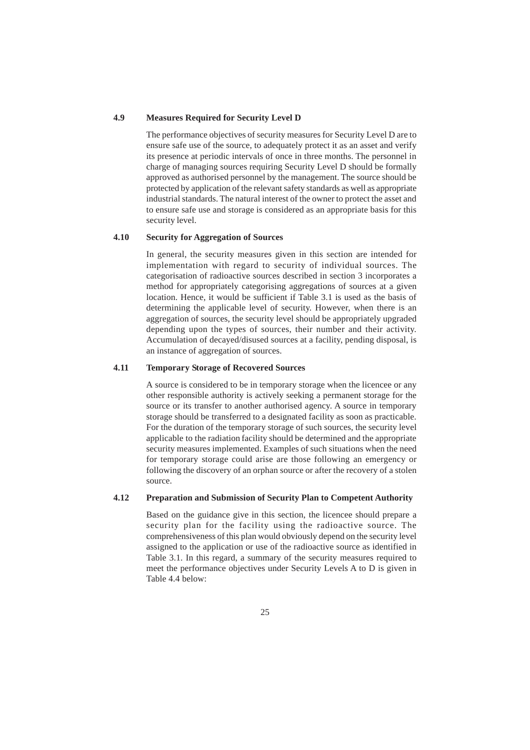### **4.9 Measures Required for Security Level D**

The performance objectives of security measures for Security Level D are to ensure safe use of the source, to adequately protect it as an asset and verify its presence at periodic intervals of once in three months. The personnel in charge of managing sources requiring Security Level D should be formally approved as authorised personnel by the management. The source should be protected by application of the relevant safety standards as well as appropriate industrial standards. The natural interest of the owner to protect the asset and to ensure safe use and storage is considered as an appropriate basis for this security level.

#### **4.10 Security for Aggregation of Sources**

In general, the security measures given in this section are intended for implementation with regard to security of individual sources. The categorisation of radioactive sources described in section 3 incorporates a method for appropriately categorising aggregations of sources at a given location. Hence, it would be sufficient if Table 3.1 is used as the basis of determining the applicable level of security. However, when there is an aggregation of sources, the security level should be appropriately upgraded depending upon the types of sources, their number and their activity. Accumulation of decayed/disused sources at a facility, pending disposal, is an instance of aggregation of sources.

## **4.11 Temporary Storage of Recovered Sources**

A source is considered to be in temporary storage when the licencee or any other responsible authority is actively seeking a permanent storage for the source or its transfer to another authorised agency. A source in temporary storage should be transferred to a designated facility as soon as practicable. For the duration of the temporary storage of such sources, the security level applicable to the radiation facility should be determined and the appropriate security measures implemented. Examples of such situations when the need for temporary storage could arise are those following an emergency or following the discovery of an orphan source or after the recovery of a stolen source.

### **4.12 Preparation and Submission of Security Plan to Competent Authority**

Based on the guidance give in this section, the licencee should prepare a security plan for the facility using the radioactive source. The comprehensiveness of this plan would obviously depend on the security level assigned to the application or use of the radioactive source as identified in Table 3.1. In this regard, a summary of the security measures required to meet the performance objectives under Security Levels A to D is given in Table 4.4 below: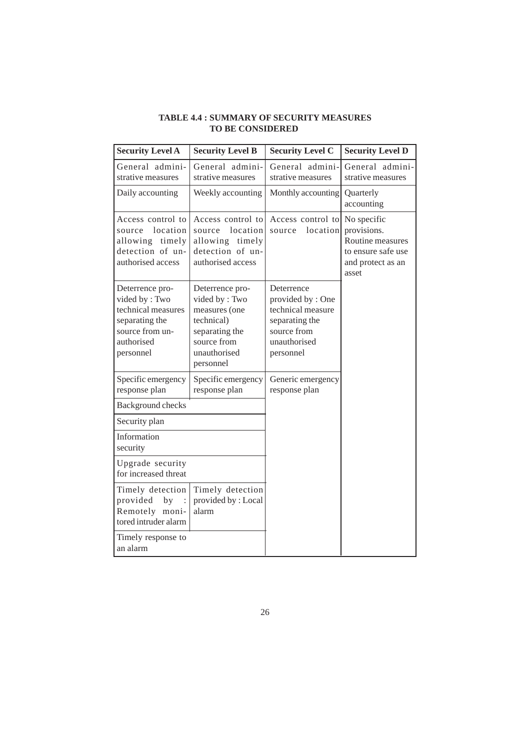## **TABLE 4.4 : SUMMARY OF SECURITY MEASURES TO BE CONSIDERED**

| <b>Security Level A</b>                                                                                                | <b>Security Level B</b>                                                                                                       | <b>Security Level C</b>                                                                                           | <b>Security Level D</b>                                                                            |
|------------------------------------------------------------------------------------------------------------------------|-------------------------------------------------------------------------------------------------------------------------------|-------------------------------------------------------------------------------------------------------------------|----------------------------------------------------------------------------------------------------|
| General admini-<br>strative measures                                                                                   | General admini-<br>strative measures                                                                                          | General admini-<br>strative measures                                                                              | General admini-<br>strative measures                                                               |
| Daily accounting                                                                                                       | Weekly accounting                                                                                                             | Monthly accounting                                                                                                | Quarterly<br>accounting                                                                            |
| Access control to<br>location<br>source<br>timely<br>allowing<br>detection of un-<br>authorised access                 | Access control to<br>location<br>source<br>allowing<br>timely<br>detection of un-<br>authorised access                        | Access control to<br>location<br>source                                                                           | No specific<br>provisions.<br>Routine measures<br>to ensure safe use<br>and protect as an<br>asset |
| Deterrence pro-<br>vided by: Two<br>technical measures<br>separating the<br>source from un-<br>authorised<br>personnel | Deterrence pro-<br>vided by: Two<br>measures (one<br>technical)<br>separating the<br>source from<br>unauthorised<br>personnel | Deterrence<br>provided by: One<br>technical measure<br>separating the<br>source from<br>unauthorised<br>personnel |                                                                                                    |
| Specific emergency<br>response plan                                                                                    | Specific emergency<br>response plan                                                                                           | Generic emergency<br>response plan                                                                                |                                                                                                    |
| Background checks                                                                                                      |                                                                                                                               |                                                                                                                   |                                                                                                    |
| Security plan                                                                                                          |                                                                                                                               |                                                                                                                   |                                                                                                    |
| Information<br>security                                                                                                |                                                                                                                               |                                                                                                                   |                                                                                                    |
| Upgrade security<br>for increased threat                                                                               |                                                                                                                               |                                                                                                                   |                                                                                                    |
| Timely detection<br>provided<br>by<br>$\therefore$<br>Remotely moni-<br>tored intruder alarm                           | Timely detection<br>provided by: Local<br>alarm                                                                               |                                                                                                                   |                                                                                                    |
| Timely response to<br>an alarm                                                                                         |                                                                                                                               |                                                                                                                   |                                                                                                    |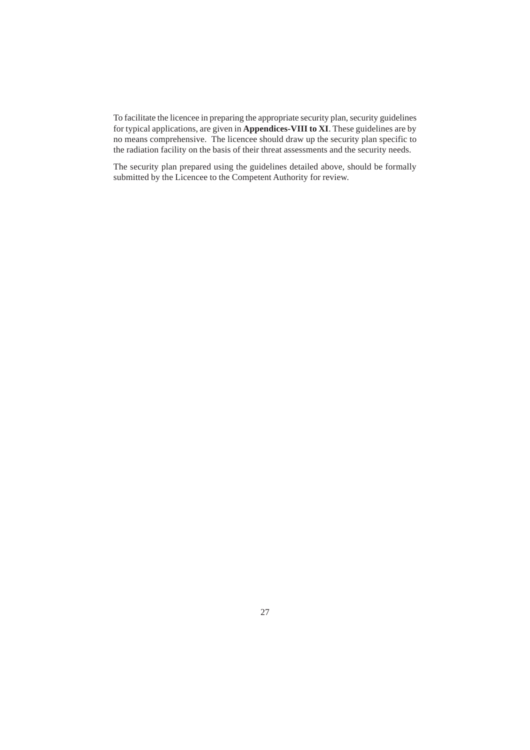To facilitate the licencee in preparing the appropriate security plan, security guidelines for typical applications, are given in **Appendices-VIII to XI**. These guidelines are by no means comprehensive. The licencee should draw up the security plan specific to the radiation facility on the basis of their threat assessments and the security needs.

The security plan prepared using the guidelines detailed above, should be formally submitted by the Licencee to the Competent Authority for review.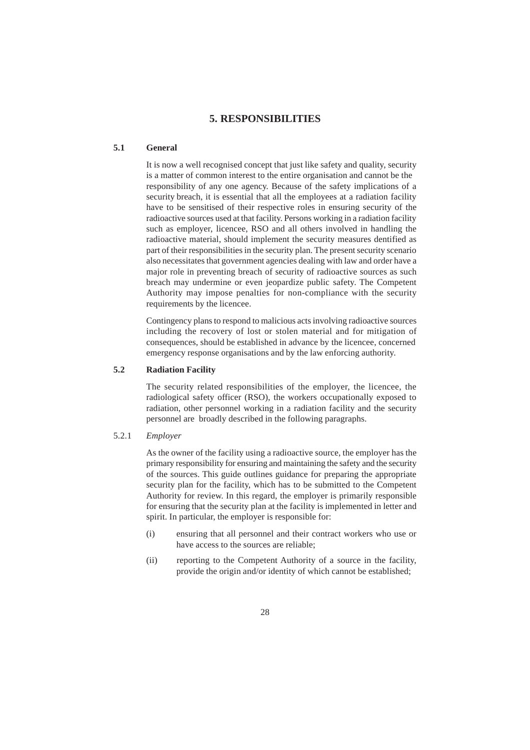## **5. RESPONSIBILITIES**

#### **5.1 General**

It is now a well recognised concept that just like safety and quality, security is a matter of common interest to the entire organisation and cannot be the responsibility of any one agency. Because of the safety implications of a security breach, it is essential that all the employees at a radiation facility have to be sensitised of their respective roles in ensuring security of the radioactive sources used at that facility. Persons working in a radiation facility such as employer, licencee, RSO and all others involved in handling the radioactive material, should implement the security measures dentified as part of their responsibilities in the security plan. The present security scenario also necessitates that government agencies dealing with law and order have a major role in preventing breach of security of radioactive sources as such breach may undermine or even jeopardize public safety. The Competent Authority may impose penalties for non-compliance with the security requirements by the licencee.

Contingency plans to respond to malicious acts involving radioactive sources including the recovery of lost or stolen material and for mitigation of consequences, should be established in advance by the licencee, concerned emergency response organisations and by the law enforcing authority.

#### **5.2 Radiation Facility**

The security related responsibilities of the employer, the licencee, the radiological safety officer (RSO), the workers occupationally exposed to radiation, other personnel working in a radiation facility and the security personnel are broadly described in the following paragraphs.

#### 5.2.1 *Employer*

As the owner of the facility using a radioactive source, the employer has the primary responsibility for ensuring and maintaining the safety and the security of the sources. This guide outlines guidance for preparing the appropriate security plan for the facility, which has to be submitted to the Competent Authority for review. In this regard, the employer is primarily responsible for ensuring that the security plan at the facility is implemented in letter and spirit. In particular, the employer is responsible for:

- (i) ensuring that all personnel and their contract workers who use or have access to the sources are reliable;
- (ii) reporting to the Competent Authority of a source in the facility, provide the origin and/or identity of which cannot be established;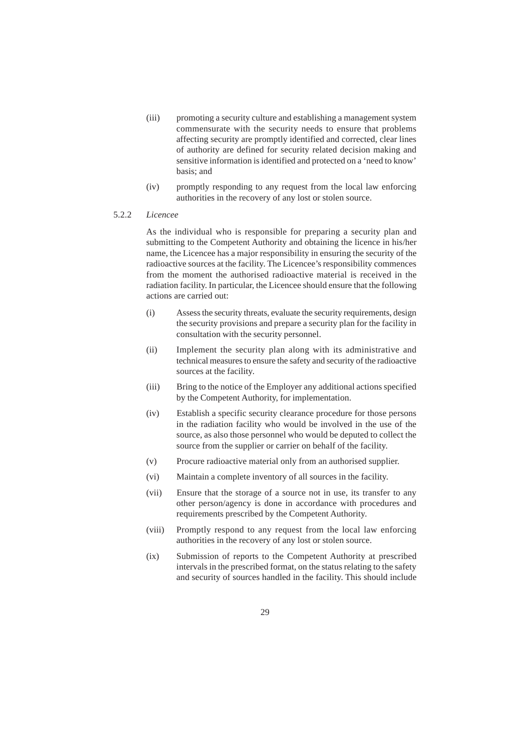- (iii) promoting a security culture and establishing a management system commensurate with the security needs to ensure that problems affecting security are promptly identified and corrected, clear lines of authority are defined for security related decision making and sensitive information is identified and protected on a 'need to know' basis; and
- (iv) promptly responding to any request from the local law enforcing authorities in the recovery of any lost or stolen source.

#### 5.2.2 *Licencee*

As the individual who is responsible for preparing a security plan and submitting to the Competent Authority and obtaining the licence in his/her name, the Licencee has a major responsibility in ensuring the security of the radioactive sources at the facility. The Licencee's responsibility commences from the moment the authorised radioactive material is received in the radiation facility. In particular, the Licencee should ensure that the following actions are carried out:

- (i) Assess the security threats, evaluate the security requirements, design the security provisions and prepare a security plan for the facility in consultation with the security personnel.
- (ii) Implement the security plan along with its administrative and technical measures to ensure the safety and security of the radioactive sources at the facility.
- (iii) Bring to the notice of the Employer any additional actions specified by the Competent Authority, for implementation.
- (iv) Establish a specific security clearance procedure for those persons in the radiation facility who would be involved in the use of the source, as also those personnel who would be deputed to collect the source from the supplier or carrier on behalf of the facility.
- (v) Procure radioactive material only from an authorised supplier.
- (vi) Maintain a complete inventory of all sources in the facility.
- (vii) Ensure that the storage of a source not in use, its transfer to any other person/agency is done in accordance with procedures and requirements prescribed by the Competent Authority.
- (viii) Promptly respond to any request from the local law enforcing authorities in the recovery of any lost or stolen source.
- (ix) Submission of reports to the Competent Authority at prescribed intervals in the prescribed format, on the status relating to the safety and security of sources handled in the facility. This should include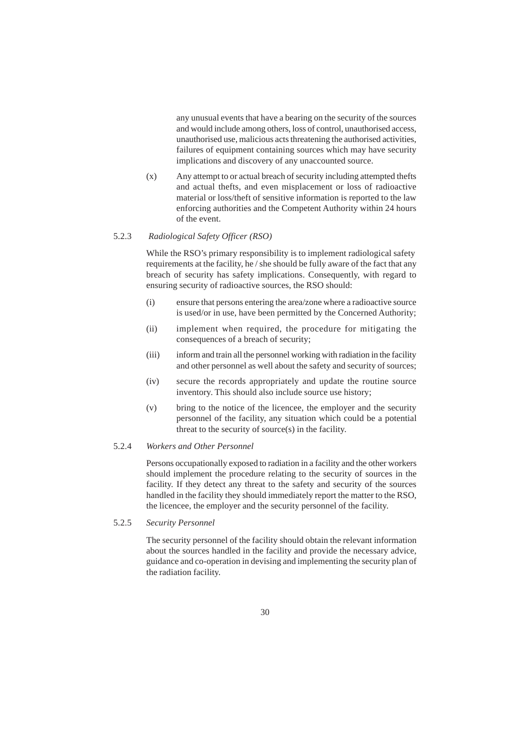any unusual events that have a bearing on the security of the sources and would include among others, loss of control, unauthorised access, unauthorised use, malicious acts threatening the authorised activities, failures of equipment containing sources which may have security implications and discovery of any unaccounted source.

(x) Any attempt to or actual breach of security including attempted thefts and actual thefts, and even misplacement or loss of radioactive material or loss/theft of sensitive information is reported to the law enforcing authorities and the Competent Authority within 24 hours of the event.

#### 5.2.3 *Radiological Safety Officer (RSO)*

While the RSO's primary responsibility is to implement radiological safety requirements at the facility, he / she should be fully aware of the fact that any breach of security has safety implications. Consequently, with regard to ensuring security of radioactive sources, the RSO should:

- (i) ensure that persons entering the area/zone where a radioactive source is used/or in use, have been permitted by the Concerned Authority;
- (ii) implement when required, the procedure for mitigating the consequences of a breach of security;
- (iii) inform and train all the personnel working with radiation in the facility and other personnel as well about the safety and security of sources;
- (iv) secure the records appropriately and update the routine source inventory. This should also include source use history;
- (v) bring to the notice of the licencee, the employer and the security personnel of the facility, any situation which could be a potential threat to the security of source(s) in the facility.

#### 5.2.4 *Workers and Other Personnel*

Persons occupationally exposed to radiation in a facility and the other workers should implement the procedure relating to the security of sources in the facility. If they detect any threat to the safety and security of the sources handled in the facility they should immediately report the matter to the RSO, the licencee, the employer and the security personnel of the facility.

5.2.5 *Security Personnel*

The security personnel of the facility should obtain the relevant information about the sources handled in the facility and provide the necessary advice, guidance and co-operation in devising and implementing the security plan of the radiation facility.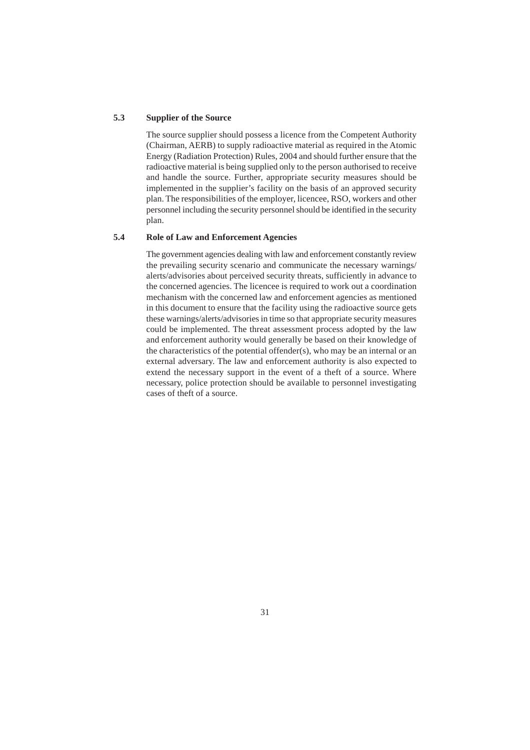#### **5.3 Supplier of the Source**

The source supplier should possess a licence from the Competent Authority (Chairman, AERB) to supply radioactive material as required in the Atomic Energy (Radiation Protection) Rules, 2004 and should further ensure that the radioactive material is being supplied only to the person authorised to receive and handle the source. Further, appropriate security measures should be implemented in the supplier's facility on the basis of an approved security plan. The responsibilities of the employer, licencee, RSO, workers and other personnel including the security personnel should be identified in the security plan.

#### **5.4 Role of Law and Enforcement Agencies**

The government agencies dealing with law and enforcement constantly review the prevailing security scenario and communicate the necessary warnings/ alerts/advisories about perceived security threats, sufficiently in advance to the concerned agencies. The licencee is required to work out a coordination mechanism with the concerned law and enforcement agencies as mentioned in this document to ensure that the facility using the radioactive source gets these warnings/alerts/advisories in time so that appropriate security measures could be implemented. The threat assessment process adopted by the law and enforcement authority would generally be based on their knowledge of the characteristics of the potential offender(s), who may be an internal or an external adversary. The law and enforcement authority is also expected to extend the necessary support in the event of a theft of a source. Where necessary, police protection should be available to personnel investigating cases of theft of a source.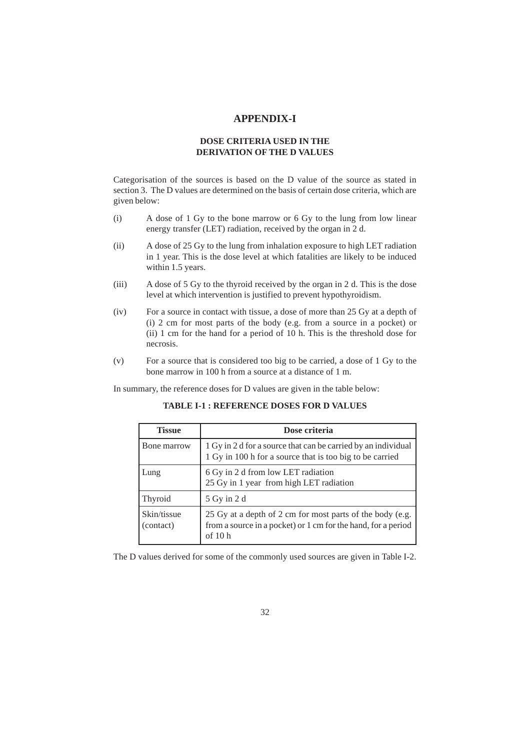## **APPENDIX-I**

## **DOSE CRITERIA USED IN THE DERIVATION OF THE D VALUES**

Categorisation of the sources is based on the D value of the source as stated in section 3. The D values are determined on the basis of certain dose criteria, which are given below:

- (i) A dose of 1 Gy to the bone marrow or 6 Gy to the lung from low linear energy transfer (LET) radiation, received by the organ in 2 d.
- (ii) A dose of 25 Gy to the lung from inhalation exposure to high LET radiation in 1 year. This is the dose level at which fatalities are likely to be induced within 1.5 years.
- (iii) A dose of 5 Gy to the thyroid received by the organ in 2 d. This is the dose level at which intervention is justified to prevent hypothyroidism.
- (iv) For a source in contact with tissue, a dose of more than 25 Gy at a depth of (i) 2 cm for most parts of the body (e.g. from a source in a pocket) or (ii) 1 cm for the hand for a period of 10 h. This is the threshold dose for necrosis.
- (v) For a source that is considered too big to be carried, a dose of 1 Gy to the bone marrow in 100 h from a source at a distance of 1 m.

In summary, the reference doses for D values are given in the table below:

**TABLE I-1 : REFERENCE DOSES FOR D VALUES**

| <b>Tissue</b>            | Dose criteria                                                                                                                          |
|--------------------------|----------------------------------------------------------------------------------------------------------------------------------------|
| Bone marrow              | 1 Gy in 2 d for a source that can be carried by an individual<br>1 Gy in 100 h for a source that is too big to be carried              |
| Lung                     | 6 Gy in 2 d from low LET radiation<br>25 Gy in 1 year from high LET radiation                                                          |
| Thyroid                  | 5 Gy in 2 d                                                                                                                            |
| Skin/tissue<br>(contact) | 25 Gy at a depth of 2 cm for most parts of the body (e.g.<br>from a source in a pocket) or 1 cm for the hand, for a period<br>of $10h$ |

The D values derived for some of the commonly used sources are given in Table I-2.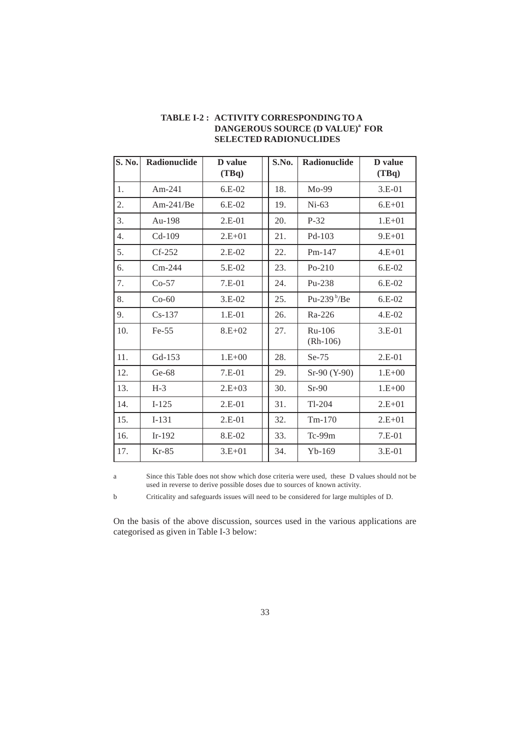| S. No. | Radionuclide | <b>D</b> value<br>(TBq) | S.No. | Radionuclide         | D value<br>(TBq) |
|--------|--------------|-------------------------|-------|----------------------|------------------|
| 1.     | Am-241       | $6.E-02$                | 18.   | Mo-99                | 3.E-01           |
| 2.     | $Am-241/Be$  | $6.E-02$                | 19.   | $Ni-63$              | $6.E + 01$       |
| 3.     | Au-198       | $2.E-01$                | 20.   | $P-32$               | $1.E+01$         |
| 4.     | $Cd-109$     | $2.E+01$                | 21.   | $Pd-103$             | $9.E+01$         |
| 5.     | $Cf-252$     | $2.E-02$                | 22.   | $Pm-147$             | $4.E+01$         |
| 6.     | $Cm-244$     | $5.E-02$                | 23.   | $Po-210$             | $6.E-02$         |
| 7.     | $Co-57$      | $7.E-01$                | 24.   | Pu-238               | $6.E-02$         |
| 8.     | $Co-60$      | $3.E-02$                | 25.   | Pu-239 $b$ /Be       | $6.E-02$         |
| 9.     | $Cs-137$     | 1.E-01                  | 26.   | Ra-226               | $4.E-02$         |
| 10.    | $Fe-55$      | $8.E+02$                | 27.   | Ru-106<br>$(Rh-106)$ | $3.E-01$         |
| 11.    | $Gd-153$     | $1.E+00$                | 28.   | $Se-75$              | $2.E-01$         |
| 12.    | Ge-68        | $7.E-01$                | 29.   | Sr-90 (Y-90)         | $1.E+00$         |
| 13.    | $H-3$        | $2.E+03$                | 30.   | $Sr-90$              | $1.E+00$         |
| 14.    | $I-125$      | $2.E-01$                | 31.   | $Tl-204$             | $2.E+01$         |
| 15.    | $I-131$      | $2.E-01$                | 32.   | $Tm-170$             | $2.E+01$         |
| 16.    | $Ir-192$     | 8.E-02                  | 33.   | $Tc-99m$             | $7.E-01$         |
| 17.    | Kr-85        | $3.E+01$                | 34.   | $Yb-169$             | $3.E-01$         |

## **TABLE I-2 : ACTIVITY CORRESPONDING TO A DANGEROUS SOURCE (D VALUE)<sup>a</sup> FOR SELECTED RADIONUCLIDES**

a Since this Table does not show which dose criteria were used, these D values should not be used in reverse to derive possible doses due to sources of known activity.

b Criticality and safeguards issues will need to be considered for large multiples of D.

On the basis of the above discussion, sources used in the various applications are categorised as given in Table I-3 below: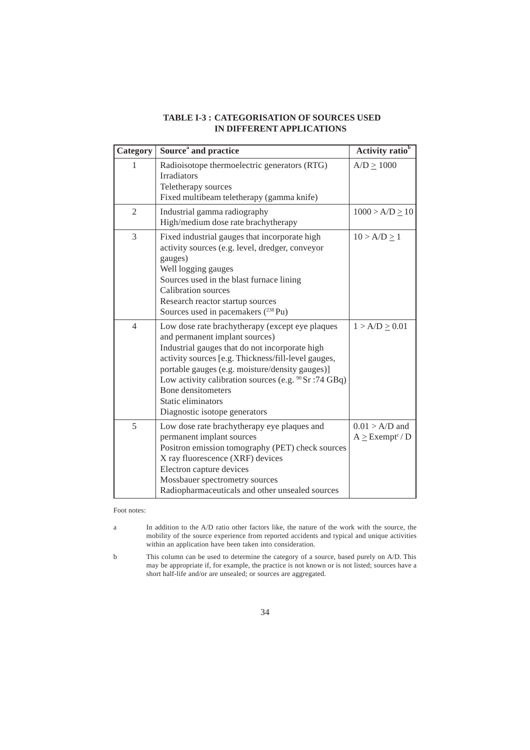| Category       | Source <sup>a</sup> and practice                                                                                                                                                                                                                                                                                                                                                       | Activity ratio <sup>b</sup>                         |
|----------------|----------------------------------------------------------------------------------------------------------------------------------------------------------------------------------------------------------------------------------------------------------------------------------------------------------------------------------------------------------------------------------------|-----------------------------------------------------|
| 1              | Radioisotope thermoelectric generators (RTG)<br><b>Irradiators</b><br>Teletherapy sources<br>Fixed multibeam teletherapy (gamma knife)                                                                                                                                                                                                                                                 | $A/D \ge 1000$                                      |
| $\overline{2}$ | Industrial gamma radiography<br>High/medium dose rate brachytherapy                                                                                                                                                                                                                                                                                                                    | $1000 > A/D \ge 10$                                 |
| 3              | Fixed industrial gauges that incorporate high<br>activity sources (e.g. level, dredger, conveyor<br>gauges)<br>Well logging gauges<br>Sources used in the blast furnace lining<br>Calibration sources<br>Research reactor startup sources<br>Sources used in pacemakers (238 Pu)                                                                                                       | $10 > A/D \ge 1$                                    |
| $\overline{4}$ | Low dose rate brachytherapy (except eye plaques<br>and permanent implant sources)<br>Industrial gauges that do not incorporate high<br>activity sources [e.g. Thickness/fill-level gauges,<br>portable gauges (e.g. moisture/density gauges)]<br>Low activity calibration sources (e.g. $90$ Sr : 74 GBq)<br>Bone densitometers<br>Static eliminators<br>Diagnostic isotope generators | $1 > A/D \ge 0.01$                                  |
| 5              | Low dose rate brachytherapy eye plaques and<br>permanent implant sources<br>Positron emission tomography (PET) check sources<br>X ray fluorescence (XRF) devices<br>Electron capture devices<br>Mossbauer spectrometry sources<br>Radiopharmaceuticals and other unsealed sources                                                                                                      | $0.01 > A/D$ and<br>$A \geq$ Exempt <sup>c</sup> /D |

## **TABLE I-3 : CATEGORISATION OF SOURCES USED IN DIFFERENT APPLICATIONS**

Foot notes:

a In addition to the A/D ratio other factors like, the nature of the work with the source, the mobility of the source experience from reported accidents and typical and unique activities within an application have been taken into consideration.

b This column can be used to determine the category of a source, based purely on A/D. This may be appropriate if, for example, the practice is not known or is not listed; sources have a short half-life and/or are unsealed; or sources are aggregated.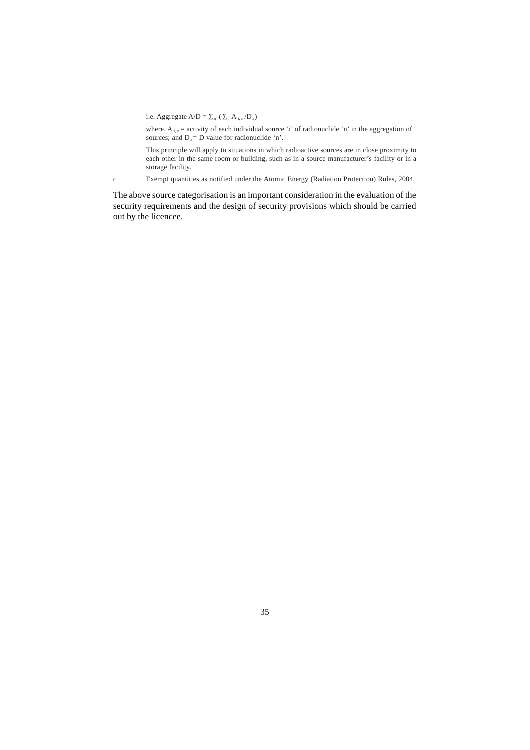i.e. Aggregate  $A/D = \sum_n (\sum_i A_{i,n}/D_n)$ 

where,  $A_{i,n}$  = activity of each individual source 'i' of radionuclide 'n' in the aggregation of sources; and  $D_n = D$  value for radionuclide 'n'.

This principle will apply to situations in which radioactive sources are in close proximity to each other in the same room or building, such as in a source manufacturer's facility or in a storage facility.

c Exempt quantities as notified under the Atomic Energy (Radiation Protection) Rules, 2004.

The above source categorisation is an important consideration in the evaluation of the security requirements and the design of security provisions which should be carried out by the licencee.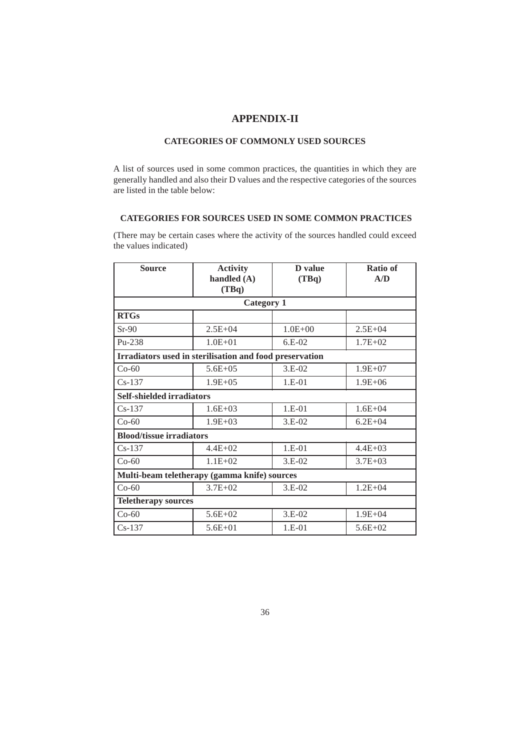## **APPENDIX-II**

## **CATEGORIES OF COMMONLY USED SOURCES**

A list of sources used in some common practices, the quantities in which they are generally handled and also their D values and the respective categories of the sources are listed in the table below:

#### **CATEGORIES FOR SOURCES USED IN SOME COMMON PRACTICES**

(There may be certain cases where the activity of the sources handled could exceed the values indicated)

| <b>Source</b>                                           | <b>Activity</b>                              |             | Ratio of    |
|---------------------------------------------------------|----------------------------------------------|-------------|-------------|
|                                                         | handled $(A)$<br>(TBq)                       | (TBq)       | A/D         |
|                                                         | <b>Category 1</b>                            |             |             |
| <b>RTGs</b>                                             |                                              |             |             |
| $Sr-90$                                                 | $2.5E + 04$                                  | $1.0E + 00$ | $2.5E + 04$ |
| $Pu-238$                                                | $1.0E + 01$                                  | $6.E-02$    | $1.7E + 02$ |
| Irradiators used in sterilisation and food preservation |                                              |             |             |
| $Co-60$                                                 | $5.6E + 05$                                  | $3.E-02$    | $1.9E + 07$ |
| $Cs-137$                                                | $1.9E + 0.5$                                 | $1.E-01$    | $1.9E + 06$ |
| <b>Self-shielded irradiators</b>                        |                                              |             |             |
| $Cs-137$                                                | $1.6E + 03$                                  | 1.E-01      | $1.6E + 04$ |
| $Co-60$                                                 | $1.9E + 03$                                  | $3.E-02$    | $6.2E + 04$ |
| <b>Blood/tissue irradiators</b>                         |                                              |             |             |
| $Cs-137$                                                | $4.4E + 02$                                  | 1.E-01      | $4.4E + 03$ |
| $Co-60$                                                 | $1.1E+02$                                    | $3.E-02$    | $3.7E + 03$ |
|                                                         | Multi-beam teletherapy (gamma knife) sources |             |             |
| $Co-60$                                                 | $3.7E + 02$                                  | 3.E-02      | $1.2E + 04$ |
| <b>Teletherapy sources</b>                              |                                              |             |             |
| $Co-60$                                                 | $5.6E + 02$                                  | $3.E-02$    | $1.9E + 04$ |
| $Cs-137$                                                | $5.6E + 01$                                  | $1.E-01$    | $5.6E+02$   |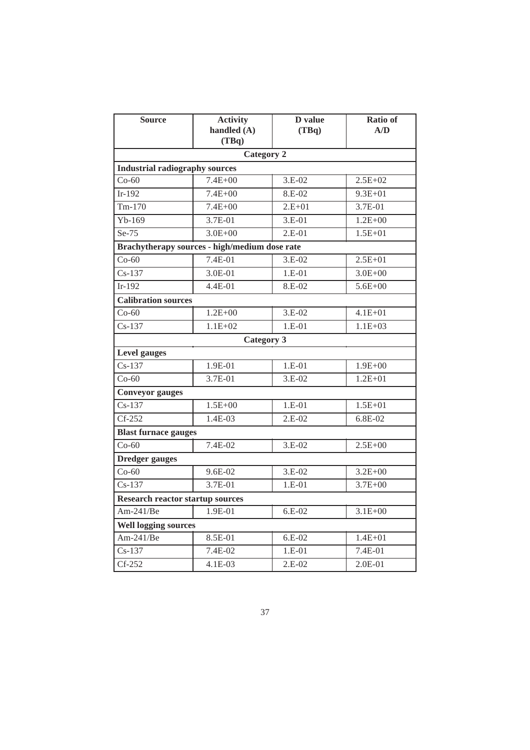| <b>Source</b>                           | <b>Activity</b><br>handled (A)<br>(TBq)       | D value<br>(TBq) | <b>Ratio of</b><br>A/D |
|-----------------------------------------|-----------------------------------------------|------------------|------------------------|
|                                         | <b>Category 2</b>                             |                  |                        |
| <b>Industrial radiography sources</b>   |                                               |                  |                        |
| $Co-60$                                 | $7.4E + 00$                                   | $3.E-02$         | $2.5E + 02$            |
| Ir-192                                  | $7.4E + 00$                                   | 8.E-02           | $9.3E + 01$            |
| $Tm-170$                                | $7.4E + 00$                                   | $2.E+01$         | 3.7E-01                |
| $Yb-169$                                | $3.7E-01$                                     | $3.E-01$         | $1.2E + 00$            |
| $Se-75$                                 | $3.0E + 00$                                   | $2.E-01$         | $1.5E + 01$            |
|                                         | Brachytherapy sources - high/medium dose rate |                  |                        |
| $Co-60$                                 | 7.4E-01                                       | 3.E-02           | $2.5E + 01$            |
| $Cs-137$                                | 3.0E-01                                       | $1.E-01$         | $3.0E + 00$            |
| Ir-192                                  | 4.4E-01                                       | 8.E-02           | $5.6E + 00$            |
| <b>Calibration sources</b>              |                                               |                  |                        |
| $Co-60$                                 | $1.2E + 00$                                   | $3.E-02$         | $4.1E + 01$            |
| $Cs-137$                                | $1.1E + 02$                                   | $1.E-01$         | $1.1E + 03$            |
|                                         | <b>Category 3</b>                             |                  |                        |
| <b>Level</b> gauges                     |                                               |                  |                        |
| $\overline{\text{Cs-137}}$              | 1.9E-01                                       | $1.E-01$         | $1.9E + 00$            |
| $Co-60$                                 | 3.7E-01                                       | $3.E-02$         | $1.2E + 01$            |
| <b>Conveyor gauges</b>                  |                                               |                  |                        |
| $Cs-137$                                | $1.5E + 00$                                   | $1.E-01$         | $1.5E + 01$            |
| $Cf-252$                                | 1.4E-03                                       | $2.E-02$         | $6.8E-02$              |
| <b>Blast furnace gauges</b>             |                                               |                  |                        |
| $Co-60$                                 | 7.4E-02                                       | 3.E-02           | $2.5E + 00$            |
| <b>Dredger</b> gauges                   |                                               |                  |                        |
| $Co-60$                                 | 9.6E-02                                       | $3.E-02$         | $3.2E + 00$            |
| $Cs-137$                                | 3.7E-01                                       | $1.E-01$         | $3.7E + 00$            |
| <b>Research reactor startup sources</b> |                                               |                  |                        |
| Am- $241/Be$                            | 1.9E-01                                       | $6.E-02$         | $3.1E + 00$            |
| <b>Well logging sources</b>             |                                               |                  |                        |
| Am-241/ $Be$                            | 8.5E-01                                       | $6.E-02$         | $1.4E + 01$            |
| $Cs-137$                                | 7.4E-02                                       | $1.E-01$         | 7.4E-01                |
| $Cf-252$                                | 4.1E-03                                       | $2.E-02$         | 2.0E-01                |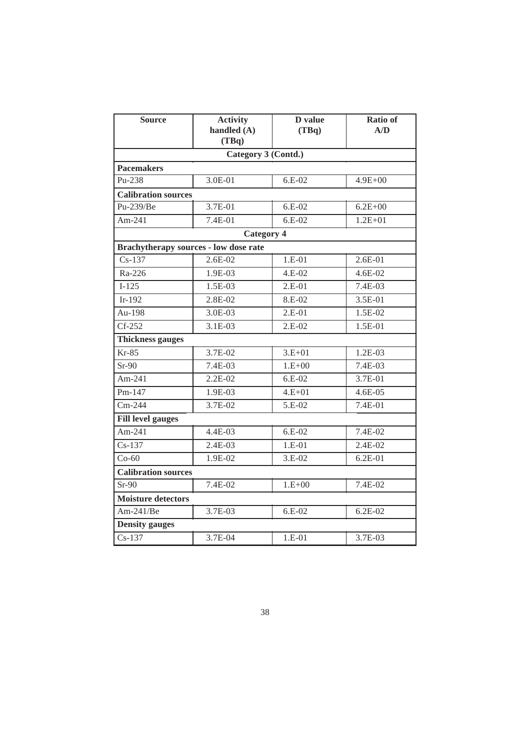| <b>Source</b>                         | <b>Activity</b><br>handled (A)<br>(TBq) | D value<br>(TBq) | <b>Ratio of</b><br>A/D |
|---------------------------------------|-----------------------------------------|------------------|------------------------|
|                                       | Category 3 (Contd.)                     |                  |                        |
| <b>Pacemakers</b>                     |                                         |                  |                        |
| Pu-238                                | 3.0E-01                                 | $6.E-02$         | $4.9E + 00$            |
| <b>Calibration sources</b>            |                                         |                  |                        |
| Pu-239/Be                             | 3.7E-01                                 | $6.E-02$         | $6.2E + 00$            |
| Am-241                                | $7.4E-01$                               | $6.E-02$         | $1.2E + 01$            |
|                                       | <b>Category 4</b>                       |                  |                        |
| Brachytherapy sources - low dose rate |                                         |                  |                        |
| $Cs-137$                              | 2.6E-02                                 | $1.E-01$         | $2.6E-01$              |
| Ra-226                                | 1.9E-03                                 | 4.E-02           | 4.6E-02                |
| $I-125$                               | 1.5E-03                                 | $2.E-01$         | 7.4E-03                |
| $Ir-192$                              | 2.8E-02                                 | 8.E-02           | 3.5E-01                |
| Au-198                                | 3.0E-03                                 | $2.E-01$         | 1.5E-02                |
| $Cf-252$                              | $3.1E-03$                               | $2.E-02$         | 1.5E-01                |
| <b>Thickness gauges</b>               |                                         |                  |                        |
| $Kr-85$                               | 3.7E-02                                 | $3.E+01$         | $1.2E-03$              |
| $Sr-90$                               | 7.4E-03                                 | $1.E+00$         | 7.4E-03                |
| Am-241                                | 2.2E-02                                 | $6.E-02$         | 3.7E-01                |
| $Pm-147$                              | 1.9E-03                                 | $4.E + 01$       | 4.6E-05                |
| $Cm-244$                              | 3.7E-02                                 | 5.E-02           | 7.4E-01                |
| <b>Fill level gauges</b>              |                                         |                  |                        |
| Am-241                                | $4.4E-03$                               | $6.E-02$         | 7.4E-02                |
| $Cs-137$                              | 2.4E-03                                 | $1.E-01$         | 2.4E-02                |
| $Co-60$                               | 1.9E-02                                 | $3.E-02$         | $6.2E - 01$            |
|                                       | <b>Calibration sources</b>              |                  |                        |
| $Sr-90$                               | 7.4E-02                                 | $1.E+00$         | 7.4E-02                |
| <b>Moisture detectors</b>             |                                         |                  |                        |
| Am-241/Be                             | 3.7E-03                                 | $6.E-02$         | $6.2E-02$              |
| <b>Density</b> gauges                 |                                         |                  |                        |
| $Cs-137$                              | 3.7E-04                                 | $1.E-01$         | 3.7E-03                |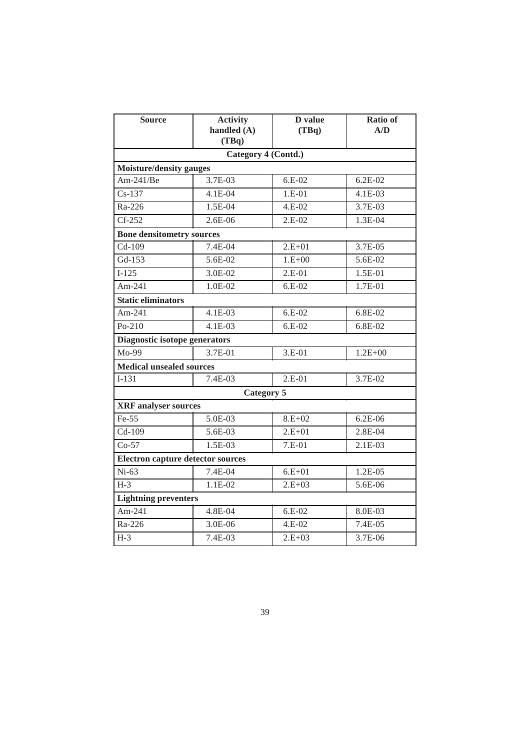| <b>Source</b>                            | <b>Activity</b><br>handled (A)<br>(TBq) | D value<br>(TBq) | <b>Ratio of</b><br>A/D |
|------------------------------------------|-----------------------------------------|------------------|------------------------|
|                                          | Category 4 (Contd.)                     |                  |                        |
| <b>Moisture/density gauges</b>           |                                         |                  |                        |
| Am-241/ $Be$                             | 3.7E-03                                 | $6.E-02$         | $6.2E-02$              |
| $Cs-137$                                 | 4.1E-04                                 | $1.E-01$         | 4.1E-03                |
| Ra-226                                   | 1.5E-04                                 | 4.E-02           | 3.7E-03                |
| $CF-252$                                 | $2.6E-06$                               | $2.E-02$         | $1.3E-04$              |
| <b>Bone densitometry sources</b>         |                                         |                  |                        |
| Cd-109                                   | 7.4E-04                                 | $2.E+01$         | 3.7E-05                |
| Gd-153                                   | 5.6E-02                                 | $1.E+00$         | 5.6E-02                |
| $I-125$                                  | 3.0E-02                                 | $2.E-01$         | 1.5E-01                |
| Am-241                                   | 1.0E-02                                 | $6.E-02$         | 1.7E-01                |
| <b>Static eliminators</b>                |                                         |                  |                        |
| Am-241                                   | $4.1E-03$                               | $6.E-02$         | 6.8E-02                |
| $Po-210$                                 | 4.1E-03                                 | $6.E-02$         | 6.8E-02                |
| Diagnostic isotope generators            |                                         |                  |                        |
| 3.7E-01<br>$Mo-99$                       |                                         | $3.E-01$         | $1.2E + 00$            |
| <b>Medical unsealed sources</b>          |                                         |                  |                        |
| $\overline{I}$ -131                      | 7.4E-03                                 | $2.E-01$         | 3.7E-02                |
|                                          | Category 5                              |                  |                        |
| <b>XRF</b> analyser sources              |                                         |                  |                        |
| Fe-55                                    | 5.0E-03                                 | $8.E+02$         | $6.2E-06$              |
| $Cd-109$                                 | 5.6E-03                                 | $2.E + 01$       | 2.8E-04                |
| $Co-57$                                  | 1.5E-03                                 | $7.E-01$         | 2.1E-03                |
| <b>Electron capture detector sources</b> |                                         |                  |                        |
| $Ni-63$                                  | 7.4E-04                                 | $6.E + 01$       | 1.2E-05                |
| $H-3$                                    | $1.1E-02$                               | $2.E+03$         | 5.6E-06                |
| <b>Lightning preventers</b>              |                                         |                  |                        |
| Am-241                                   | $4.8E - 04$                             | $6.E-02$         | 8.0E-03                |
| Ra-226                                   | 3.0E-06                                 | 4.E-02           | 7.4E-05                |
| $H-3$                                    | 7.4E-03                                 | $2.E + 03$       | 3.7E-06                |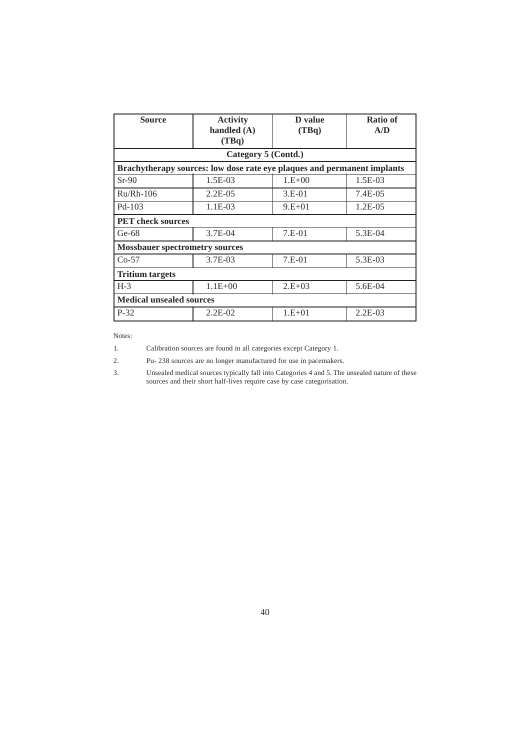| <b>Source</b>                         | <b>Activity</b><br>handled $(A)$<br>(TBq)                               | D value<br>(TBq) | <b>Ratio of</b><br>A/D |
|---------------------------------------|-------------------------------------------------------------------------|------------------|------------------------|
|                                       | Category 5 (Contd.)                                                     |                  |                        |
|                                       | Brachytherapy sources: low dose rate eye plaques and permanent implants |                  |                        |
| $Sr-90$                               | 1.5E-03                                                                 | $1.E+00$         | $1.5E-03$              |
| $Ru/Rh-106$                           | $2.2E-0.5$                                                              | $3.E-01$         | $7.4E-0.5$             |
| $Pd-103$                              | 1.1E-03                                                                 | $9.E+01$         | $1.2E-05$              |
| <b>PET</b> check sources              |                                                                         |                  |                        |
| $Ge-68$                               | 3.7E-04                                                                 | $7.E-01$         | 5.3E-04                |
| <b>Mossbauer spectrometry sources</b> |                                                                         |                  |                        |
| 3.7E-03<br>$Co-57$                    |                                                                         | $7.E-01$         | 5.3E-03                |
| <b>Tritium targets</b>                |                                                                         |                  |                        |
| $H-3$<br>$1.1E + 00$                  |                                                                         | $2.E+03$         | 5.6E-04                |
| <b>Medical unsealed sources</b>       |                                                                         |                  |                        |
| $P-32$                                | $2.2E-02$                                                               | $1.E+01$         | $2.2E-03$              |

Notes:

1. Calibration sources are found in all categories except Category 1.

2. Pu- 238 sources are no longer manufactured for use in pacemakers.

3. Unsealed medical sources typically fall into Categories 4 and 5. The unsealed nature of these sources and their short half-lives require case by case categorisation.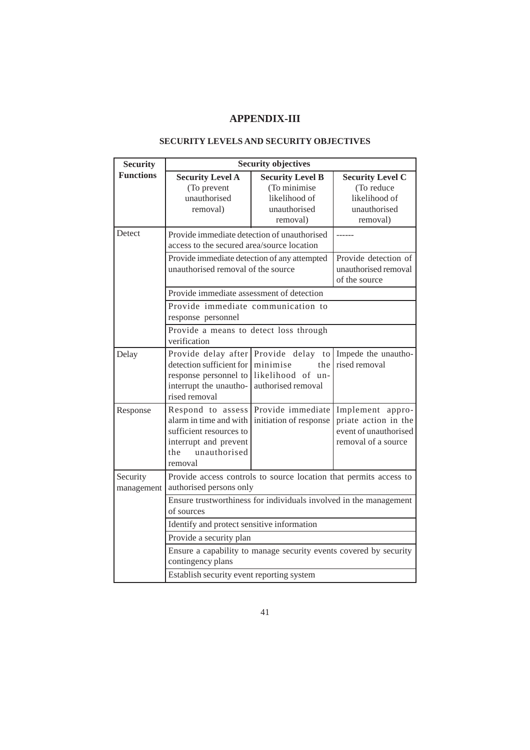## **APPENDIX-III**

| <b>Security</b>        | <b>Security objectives</b>                                                                                                                                                          |                                                          |                                                                                          |  |
|------------------------|-------------------------------------------------------------------------------------------------------------------------------------------------------------------------------------|----------------------------------------------------------|------------------------------------------------------------------------------------------|--|
| <b>Functions</b>       | <b>Security Level A</b><br>(To prevent<br>unauthorised                                                                                                                              | <b>Security Level B</b><br>(To minimise<br>likelihood of | <b>Security Level C</b><br>(To reduce<br>likelihood of                                   |  |
|                        | removal)                                                                                                                                                                            | unauthorised<br>removal)                                 | unauthorised<br>removal)                                                                 |  |
| Detect                 | Provide immediate detection of unauthorised<br>access to the secured area/source location                                                                                           |                                                          |                                                                                          |  |
|                        | Provide immediate detection of any attempted<br>unauthorised removal of the source                                                                                                  |                                                          | Provide detection of<br>unauthorised removal<br>of the source                            |  |
|                        | Provide immediate assessment of detection                                                                                                                                           |                                                          |                                                                                          |  |
|                        | Provide immediate communication to<br>response personnel                                                                                                                            |                                                          |                                                                                          |  |
|                        | Provide a means to detect loss through<br>verification                                                                                                                              |                                                          |                                                                                          |  |
| Delay                  | Provide delay after Provide delay to Impede the unautho-<br>detection sufficient for minimise<br>response personnel to likelihood of un-<br>interrupt the unautho-<br>rised removal | the<br>authorised removal                                | rised removal                                                                            |  |
| Response               | Respond to assess Provide immediate<br>alarm in time and with<br>sufficient resources to<br>interrupt and prevent<br>unauthorised<br>the<br>removal                                 | initiation of response                                   | Implement appro-<br>priate action in the<br>event of unauthorised<br>removal of a source |  |
| Security<br>management | Provide access controls to source location that permits access to<br>authorised persons only                                                                                        |                                                          |                                                                                          |  |
|                        | Ensure trustworthiness for individuals involved in the management<br>of sources                                                                                                     |                                                          |                                                                                          |  |
|                        | Identify and protect sensitive information                                                                                                                                          |                                                          |                                                                                          |  |
|                        | Provide a security plan                                                                                                                                                             |                                                          |                                                                                          |  |
|                        | Ensure a capability to manage security events covered by security<br>contingency plans                                                                                              |                                                          |                                                                                          |  |
|                        | Establish security event reporting system                                                                                                                                           |                                                          |                                                                                          |  |

## **SECURITY LEVELS AND SECURITY OBJECTIVES**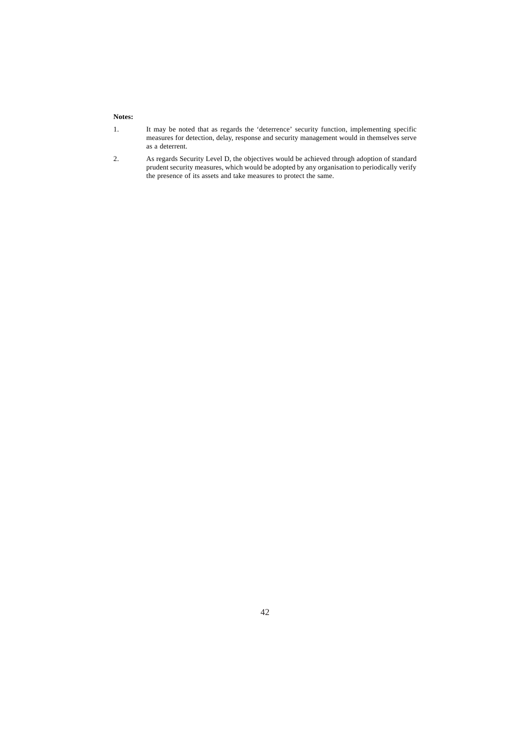#### **Notes:**

- 1. It may be noted that as regards the 'deterrence' security function, implementing specific measures for detection, delay, response and security management would in themselves serve as a deterrent.
- 2. As regards Security Level D, the objectives would be achieved through adoption of standard prudent security measures, which would be adopted by any organisation to periodically verify the presence of its assets and take measures to protect the same.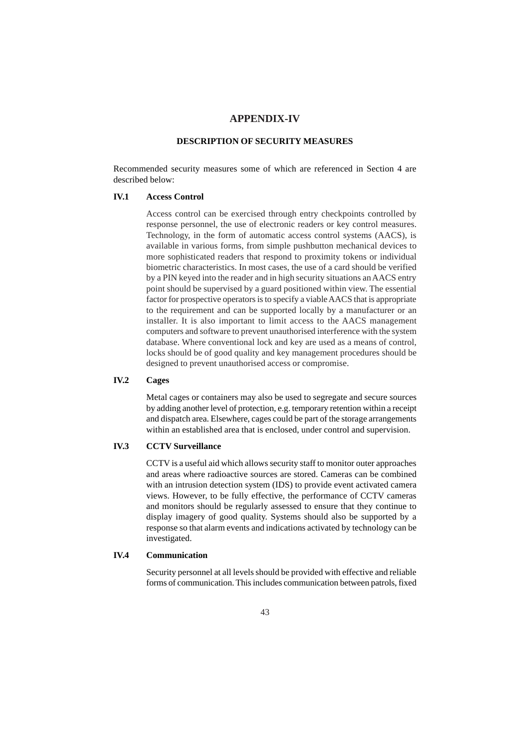#### **APPENDIX-IV**

## **DESCRIPTION OF SECURITY MEASURES**

Recommended security measures some of which are referenced in Section 4 are described below:

#### **IV.1 Access Control**

Access control can be exercised through entry checkpoints controlled by response personnel, the use of electronic readers or key control measures. Technology, in the form of automatic access control systems (AACS), is available in various forms, from simple pushbutton mechanical devices to more sophisticated readers that respond to proximity tokens or individual biometric characteristics. In most cases, the use of a card should be verified by a PIN keyed into the reader and in high security situations an AACS entry point should be supervised by a guard positioned within view. The essential factor for prospective operators is to specify a viable AACS that is appropriate to the requirement and can be supported locally by a manufacturer or an installer. It is also important to limit access to the AACS management computers and software to prevent unauthorised interference with the system database. Where conventional lock and key are used as a means of control, locks should be of good quality and key management procedures should be designed to prevent unauthorised access or compromise.

### **IV.2 Cages**

Metal cages or containers may also be used to segregate and secure sources by adding another level of protection, e.g. temporary retention within a receipt and dispatch area. Elsewhere, cages could be part of the storage arrangements within an established area that is enclosed, under control and supervision.

## **IV.3 CCTV Surveillance**

CCTV is a useful aid which allows security staff to monitor outer approaches and areas where radioactive sources are stored. Cameras can be combined with an intrusion detection system (IDS) to provide event activated camera views. However, to be fully effective, the performance of CCTV cameras and monitors should be regularly assessed to ensure that they continue to display imagery of good quality. Systems should also be supported by a response so that alarm events and indications activated by technology can be investigated.

#### **IV.4 Communication**

Security personnel at all levels should be provided with effective and reliable forms of communication. This includes communication between patrols, fixed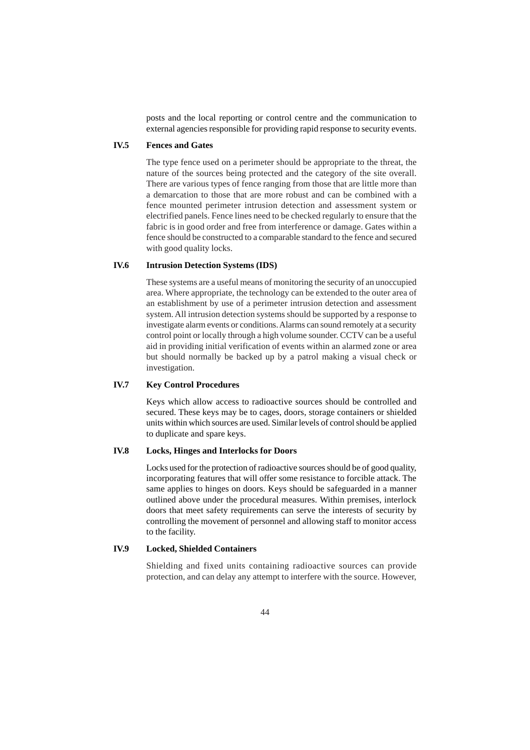posts and the local reporting or control centre and the communication to external agencies responsible for providing rapid response to security events.

## **IV.5 Fences and Gates**

The type fence used on a perimeter should be appropriate to the threat, the nature of the sources being protected and the category of the site overall. There are various types of fence ranging from those that are little more than a demarcation to those that are more robust and can be combined with a fence mounted perimeter intrusion detection and assessment system or electrified panels. Fence lines need to be checked regularly to ensure that the fabric is in good order and free from interference or damage. Gates within a fence should be constructed to a comparable standard to the fence and secured with good quality locks.

#### **IV.6 Intrusion Detection Systems (IDS)**

These systems are a useful means of monitoring the security of an unoccupied area. Where appropriate, the technology can be extended to the outer area of an establishment by use of a perimeter intrusion detection and assessment system. All intrusion detection systems should be supported by a response to investigate alarm events or conditions. Alarms can sound remotely at a security control point or locally through a high volume sounder. CCTV can be a useful aid in providing initial verification of events within an alarmed zone or area but should normally be backed up by a patrol making a visual check or investigation.

### **IV.7 Key Control Procedures**

Keys which allow access to radioactive sources should be controlled and secured. These keys may be to cages, doors, storage containers or shielded units within which sources are used. Similar levels of control should be applied to duplicate and spare keys.

#### **IV.8 Locks, Hinges and Interlocks for Doors**

Locks used for the protection of radioactive sources should be of good quality, incorporating features that will offer some resistance to forcible attack. The same applies to hinges on doors. Keys should be safeguarded in a manner outlined above under the procedural measures. Within premises, interlock doors that meet safety requirements can serve the interests of security by controlling the movement of personnel and allowing staff to monitor access to the facility.

## **IV.9 Locked, Shielded Containers**

Shielding and fixed units containing radioactive sources can provide protection, and can delay any attempt to interfere with the source. However,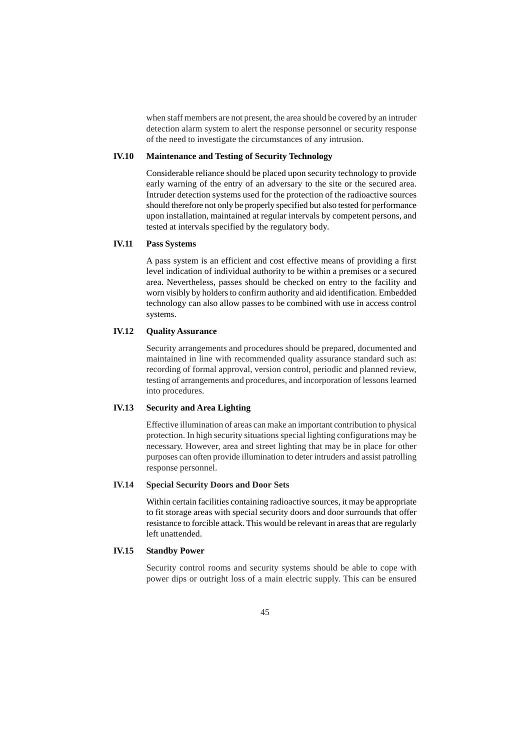when staff members are not present, the area should be covered by an intruder detection alarm system to alert the response personnel or security response of the need to investigate the circumstances of any intrusion.

### **IV.10 Maintenance and Testing of Security Technology**

Considerable reliance should be placed upon security technology to provide early warning of the entry of an adversary to the site or the secured area. Intruder detection systems used for the protection of the radioactive sources should therefore not only be properly specified but also tested for performance upon installation, maintained at regular intervals by competent persons, and tested at intervals specified by the regulatory body.

#### **IV.11 Pass Systems**

A pass system is an efficient and cost effective means of providing a first level indication of individual authority to be within a premises or a secured area. Nevertheless, passes should be checked on entry to the facility and worn visibly by holders to confirm authority and aid identification. Embedded technology can also allow passes to be combined with use in access control systems.

## **IV.12 Quality Assurance**

Security arrangements and procedures should be prepared, documented and maintained in line with recommended quality assurance standard such as: recording of formal approval, version control, periodic and planned review, testing of arrangements and procedures, and incorporation of lessons learned into procedures.

## **IV.13 Security and Area Lighting**

Effective illumination of areas can make an important contribution to physical protection. In high security situations special lighting configurations may be necessary. However, area and street lighting that may be in place for other purposes can often provide illumination to deter intruders and assist patrolling response personnel.

#### **IV.14 Special Security Doors and Door Sets**

Within certain facilities containing radioactive sources, it may be appropriate to fit storage areas with special security doors and door surrounds that offer resistance to forcible attack. This would be relevant in areas that are regularly left unattended.

#### **IV.15 Standby Power**

Security control rooms and security systems should be able to cope with power dips or outright loss of a main electric supply. This can be ensured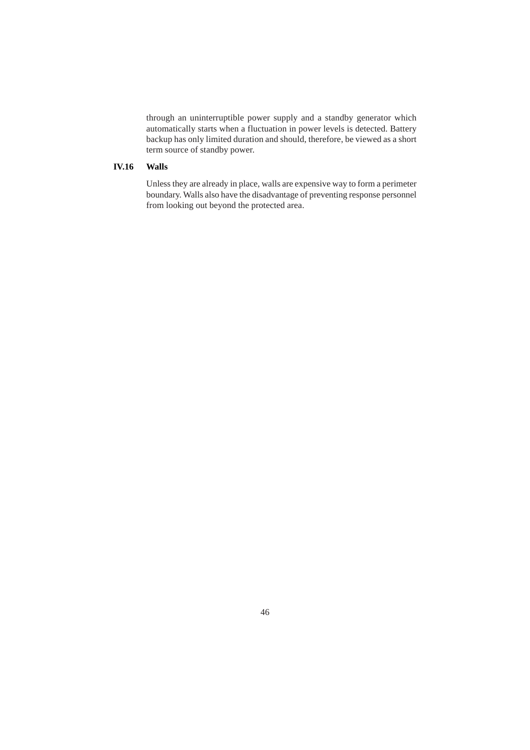through an uninterruptible power supply and a standby generator which automatically starts when a fluctuation in power levels is detected. Battery backup has only limited duration and should, therefore, be viewed as a short term source of standby power.

## **IV.16 Walls**

Unless they are already in place, walls are expensive way to form a perimeter boundary. Walls also have the disadvantage of preventing response personnel from looking out beyond the protected area.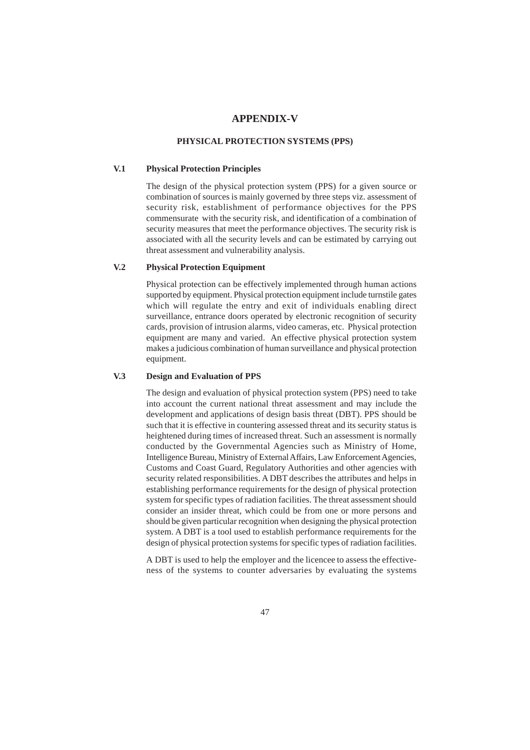## **APPENDIX-V**

#### **PHYSICAL PROTECTION SYSTEMS (PPS)**

#### **V.1 Physical Protection Principles**

The design of the physical protection system (PPS) for a given source or combination of sources is mainly governed by three steps viz. assessment of security risk, establishment of performance objectives for the PPS commensurate with the security risk, and identification of a combination of security measures that meet the performance objectives. The security risk is associated with all the security levels and can be estimated by carrying out threat assessment and vulnerability analysis.

#### **V.2 Physical Protection Equipment**

Physical protection can be effectively implemented through human actions supported by equipment. Physical protection equipment include turnstile gates which will regulate the entry and exit of individuals enabling direct surveillance, entrance doors operated by electronic recognition of security cards, provision of intrusion alarms, video cameras, etc. Physical protection equipment are many and varied. An effective physical protection system makes a judicious combination of human surveillance and physical protection equipment.

#### **V.3 Design and Evaluation of PPS**

The design and evaluation of physical protection system (PPS) need to take into account the current national threat assessment and may include the development and applications of design basis threat (DBT). PPS should be such that it is effective in countering assessed threat and its security status is heightened during times of increased threat. Such an assessment is normally conducted by the Governmental Agencies such as Ministry of Home, Intelligence Bureau, Ministry of External Affairs, Law Enforcement Agencies, Customs and Coast Guard, Regulatory Authorities and other agencies with security related responsibilities. A DBT describes the attributes and helps in establishing performance requirements for the design of physical protection system for specific types of radiation facilities. The threat assessment should consider an insider threat, which could be from one or more persons and should be given particular recognition when designing the physical protection system. A DBT is a tool used to establish performance requirements for the design of physical protection systems for specific types of radiation facilities.

A DBT is used to help the employer and the licencee to assess the effectiveness of the systems to counter adversaries by evaluating the systems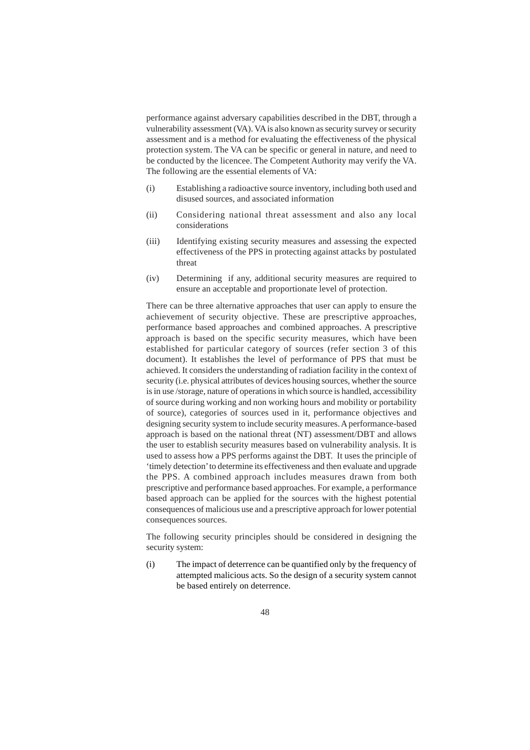performance against adversary capabilities described in the DBT, through a vulnerability assessment (VA). VA is also known as security survey or security assessment and is a method for evaluating the effectiveness of the physical protection system. The VA can be specific or general in nature, and need to be conducted by the licencee. The Competent Authority may verify the VA. The following are the essential elements of VA:

- (i) Establishing a radioactive source inventory, including both used and disused sources, and associated information
- (ii) Considering national threat assessment and also any local considerations
- (iii) Identifying existing security measures and assessing the expected effectiveness of the PPS in protecting against attacks by postulated threat
- (iv) Determining if any, additional security measures are required to ensure an acceptable and proportionate level of protection.

There can be three alternative approaches that user can apply to ensure the achievement of security objective. These are prescriptive approaches, performance based approaches and combined approaches. A prescriptive approach is based on the specific security measures, which have been established for particular category of sources (refer section 3 of this document). It establishes the level of performance of PPS that must be achieved. It considers the understanding of radiation facility in the context of security (i.e. physical attributes of devices housing sources, whether the source is in use /storage, nature of operations in which source is handled, accessibility of source during working and non working hours and mobility or portability of source), categories of sources used in it, performance objectives and designing security system to include security measures. A performance-based approach is based on the national threat (NT) assessment/DBT and allows the user to establish security measures based on vulnerability analysis. It is used to assess how a PPS performs against the DBT. It uses the principle of 'timely detection' to determine its effectiveness and then evaluate and upgrade the PPS. A combined approach includes measures drawn from both prescriptive and performance based approaches. For example, a performance based approach can be applied for the sources with the highest potential consequences of malicious use and a prescriptive approach for lower potential consequences sources.

The following security principles should be considered in designing the security system:

(i) The impact of deterrence can be quantified only by the frequency of attempted malicious acts. So the design of a security system cannot be based entirely on deterrence.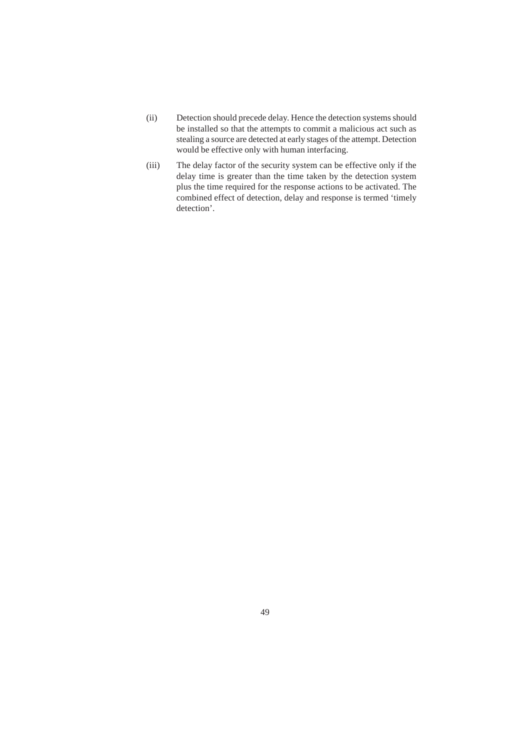- (ii) Detection should precede delay. Hence the detection systems should be installed so that the attempts to commit a malicious act such as stealing a source are detected at early stages of the attempt. Detection would be effective only with human interfacing.
- (iii) The delay factor of the security system can be effective only if the delay time is greater than the time taken by the detection system plus the time required for the response actions to be activated. The combined effect of detection, delay and response is termed 'timely detection'.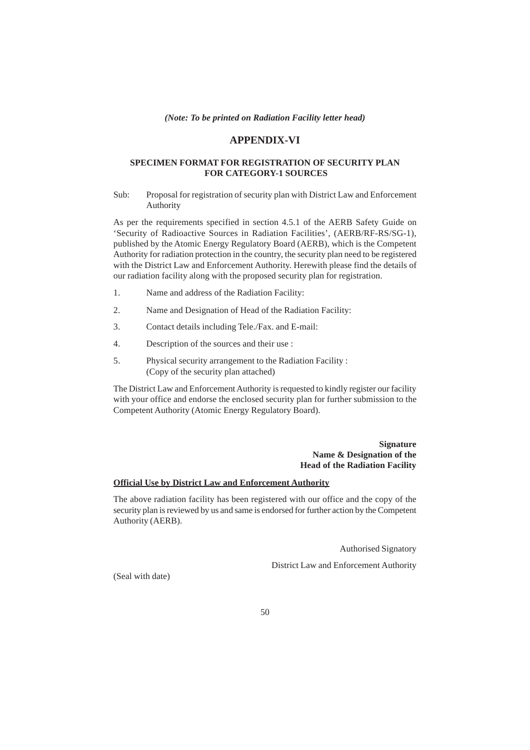#### **APPENDIX-VI**

#### **SPECIMEN FORMAT FOR REGISTRATION OF SECURITY PLAN FOR CATEGORY-1 SOURCES**

Sub: Proposal for registration of security plan with District Law and Enforcement Authority

As per the requirements specified in section 4.5.1 of the AERB Safety Guide on 'Security of Radioactive Sources in Radiation Facilities', (AERB/RF-RS/SG-1), published by the Atomic Energy Regulatory Board (AERB), which is the Competent Authority for radiation protection in the country, the security plan need to be registered with the District Law and Enforcement Authority. Herewith please find the details of our radiation facility along with the proposed security plan for registration.

- 1. Name and address of the Radiation Facility:
- 2. Name and Designation of Head of the Radiation Facility:
- 3. Contact details including Tele./Fax. and E-mail:
- 4. Description of the sources and their use :
- 5. Physical security arrangement to the Radiation Facility : (Copy of the security plan attached)

The District Law and Enforcement Authority is requested to kindly register our facility with your office and endorse the enclosed security plan for further submission to the Competent Authority (Atomic Energy Regulatory Board).

#### **Signature Name & Designation of the Head of the Radiation Facility**

#### **Official Use by District Law and Enforcement Authority**

The above radiation facility has been registered with our office and the copy of the security plan is reviewed by us and same is endorsed for further action by the Competent Authority (AERB).

Authorised Signatory

District Law and Enforcement Authority

(Seal with date)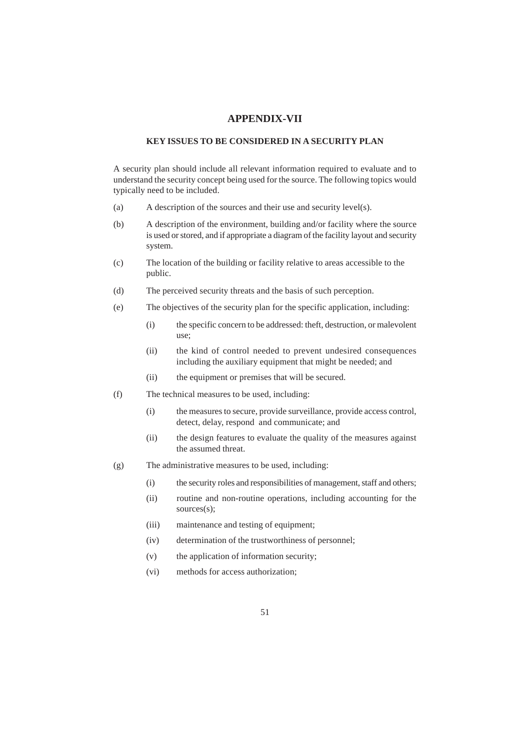### **APPENDIX-VII**

### **KEY ISSUES TO BE CONSIDERED IN A SECURITY PLAN**

A security plan should include all relevant information required to evaluate and to understand the security concept being used for the source. The following topics would typically need to be included.

- (a) A description of the sources and their use and security level(s).
- (b) A description of the environment, building and/or facility where the source is used or stored, and if appropriate a diagram of the facility layout and security system.
- (c) The location of the building or facility relative to areas accessible to the public.
- (d) The perceived security threats and the basis of such perception.
- (e) The objectives of the security plan for the specific application, including:
	- (i) the specific concern to be addressed: theft, destruction, or malevolent use;
	- (ii) the kind of control needed to prevent undesired consequences including the auxiliary equipment that might be needed; and
	- (ii) the equipment or premises that will be secured.
- (f) The technical measures to be used, including:
	- (i) the measures to secure, provide surveillance, provide access control, detect, delay, respond and communicate; and
	- (ii) the design features to evaluate the quality of the measures against the assumed threat.
- (g) The administrative measures to be used, including:
	- (i) the security roles and responsibilities of management, staff and others;
	- (ii) routine and non-routine operations, including accounting for the sources(s);
	- (iii) maintenance and testing of equipment;
	- (iv) determination of the trustworthiness of personnel;
	- (v) the application of information security;
	- (vi) methods for access authorization;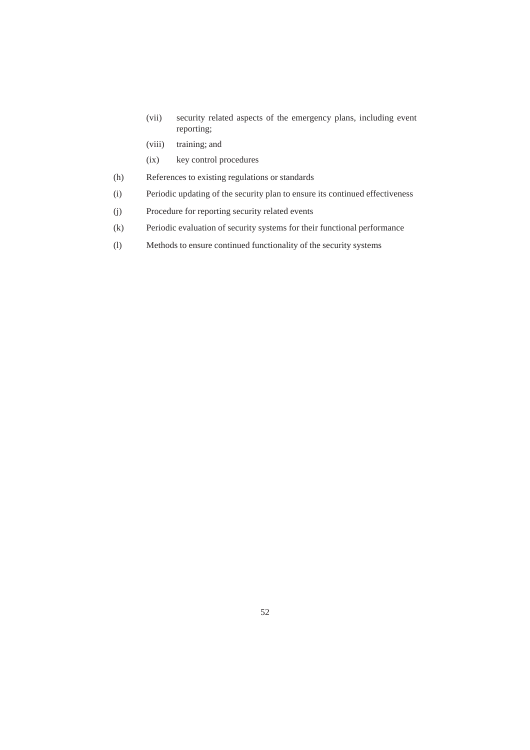- (vii) security related aspects of the emergency plans, including event reporting;
- (viii) training; and
- (ix) key control procedures
- (h) References to existing regulations or standards
- (i) Periodic updating of the security plan to ensure its continued effectiveness
- (j) Procedure for reporting security related events
- (k) Periodic evaluation of security systems for their functional performance
- (l) Methods to ensure continued functionality of the security systems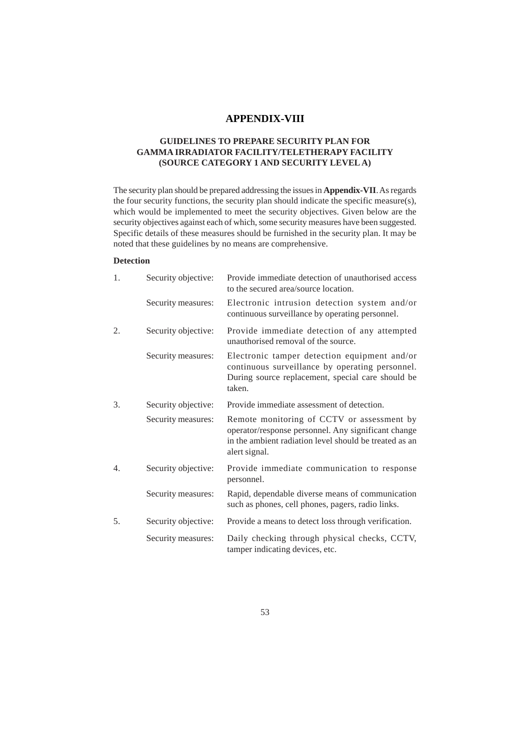## **APPENDIX-VIII**

## **GUIDELINES TO PREPARE SECURITY PLAN FOR GAMMA IRRADIATOR FACILITY/TELETHERAPY FACILITY (SOURCE CATEGORY 1 AND SECURITY LEVEL A)**

The security plan should be prepared addressing the issues in **Appendix-VII**. As regards the four security functions, the security plan should indicate the specific measure(s), which would be implemented to meet the security objectives. Given below are the security objectives against each of which, some security measures have been suggested. Specific details of these measures should be furnished in the security plan. It may be noted that these guidelines by no means are comprehensive.

## **Detection**

| 1. | Security objective: | Provide immediate detection of unauthorised access<br>to the secured area/source location.                                                                                   |
|----|---------------------|------------------------------------------------------------------------------------------------------------------------------------------------------------------------------|
|    | Security measures:  | Electronic intrusion detection system and/or<br>continuous surveillance by operating personnel.                                                                              |
| 2. | Security objective: | Provide immediate detection of any attempted<br>unauthorised removal of the source.                                                                                          |
|    | Security measures:  | Electronic tamper detection equipment and/or<br>continuous surveillance by operating personnel.<br>During source replacement, special care should be<br>taken.               |
| 3. | Security objective: | Provide immediate assessment of detection.                                                                                                                                   |
|    | Security measures:  | Remote monitoring of CCTV or assessment by<br>operator/response personnel. Any significant change<br>in the ambient radiation level should be treated as an<br>alert signal. |
| 4. | Security objective: | Provide immediate communication to response<br>personnel.                                                                                                                    |
|    | Security measures:  | Rapid, dependable diverse means of communication<br>such as phones, cell phones, pagers, radio links.                                                                        |
| 5. | Security objective: | Provide a means to detect loss through verification.                                                                                                                         |
|    | Security measures:  | Daily checking through physical checks, CCTV,<br>tamper indicating devices, etc.                                                                                             |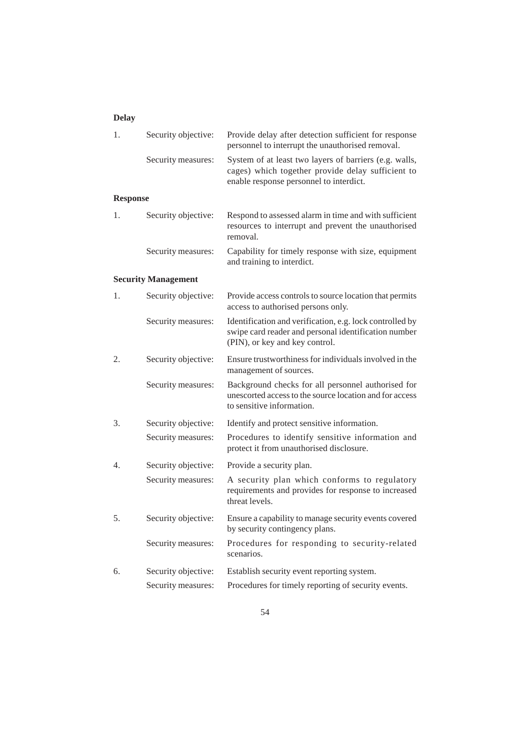## **Delay**

| 1.              | Security objective:        | Provide delay after detection sufficient for response<br>personnel to interrupt the unauthorised removal.                                              |
|-----------------|----------------------------|--------------------------------------------------------------------------------------------------------------------------------------------------------|
|                 | Security measures:         | System of at least two layers of barriers (e.g. walls,<br>cages) which together provide delay sufficient to<br>enable response personnel to interdict. |
| <b>Response</b> |                            |                                                                                                                                                        |
| 1.              | Security objective:        | Respond to assessed alarm in time and with sufficient<br>resources to interrupt and prevent the unauthorised<br>removal.                               |
|                 | Security measures:         | Capability for timely response with size, equipment<br>and training to interdict.                                                                      |
|                 | <b>Security Management</b> |                                                                                                                                                        |
| 1.              | Security objective:        | Provide access controls to source location that permits<br>access to authorised persons only.                                                          |
|                 | Security measures:         | Identification and verification, e.g. lock controlled by<br>swipe card reader and personal identification number<br>(PIN), or key and key control.     |
| 2.              | Security objective:        | Ensure trustworthiness for individuals involved in the<br>management of sources.                                                                       |
|                 | Security measures:         | Background checks for all personnel authorised for<br>unescorted access to the source location and for access<br>to sensitive information.             |
| 3.              | Security objective:        | Identify and protect sensitive information.                                                                                                            |
|                 | Security measures:         | Procedures to identify sensitive information and<br>protect it from unauthorised disclosure.                                                           |
| 4.              | Security objective:        | Provide a security plan.                                                                                                                               |
|                 | Security measures:         | A security plan which conforms to regulatory<br>requirements and provides for response to increased<br>threat levels.                                  |
| 5.              | Security objective:        | Ensure a capability to manage security events covered<br>by security contingency plans.                                                                |
|                 | Security measures:         | Procedures for responding to security-related<br>scenarios.                                                                                            |
| 6.              | Security objective:        | Establish security event reporting system.                                                                                                             |
|                 | Security measures:         | Procedures for timely reporting of security events.                                                                                                    |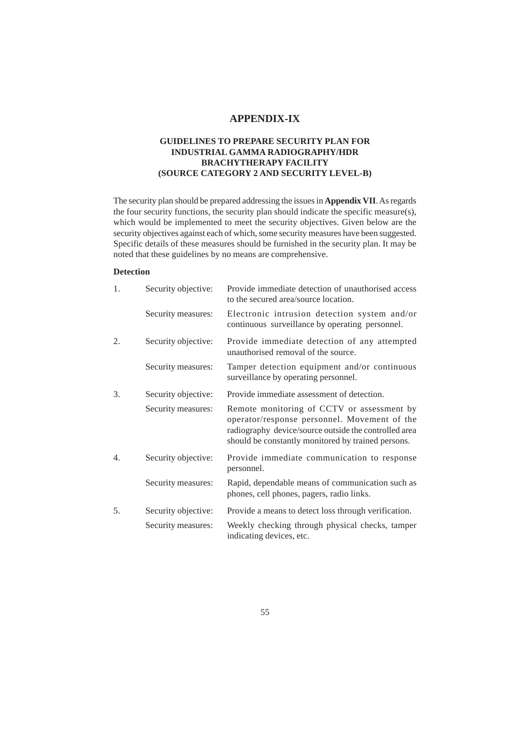## **APPENDIX-IX**

## **GUIDELINES TO PREPARE SECURITY PLAN FOR INDUSTRIAL GAMMA RADIOGRAPHY/HDR BRACHYTHERAPY FACILITY (SOURCE CATEGORY 2 AND SECURITY LEVEL-B)**

The security plan should be prepared addressing the issues in **Appendix VII**. As regards the four security functions, the security plan should indicate the specific measure(s), which would be implemented to meet the security objectives. Given below are the security objectives against each of which, some security measures have been suggested. Specific details of these measures should be furnished in the security plan. It may be noted that these guidelines by no means are comprehensive.

### **Detection**

| 1. | Security objective: | Provide immediate detection of unauthorised access<br>to the secured area/source location.                                                                                                                |
|----|---------------------|-----------------------------------------------------------------------------------------------------------------------------------------------------------------------------------------------------------|
|    | Security measures:  | Electronic intrusion detection system and/or<br>continuous surveillance by operating personnel.                                                                                                           |
| 2. | Security objective: | Provide immediate detection of any attempted<br>unauthorised removal of the source.                                                                                                                       |
|    | Security measures:  | Tamper detection equipment and/or continuous<br>surveillance by operating personnel.                                                                                                                      |
| 3. | Security objective: | Provide immediate assessment of detection.                                                                                                                                                                |
|    | Security measures:  | Remote monitoring of CCTV or assessment by<br>operator/response personnel. Movement of the<br>radiography device/source outside the controlled area<br>should be constantly monitored by trained persons. |
| 4. | Security objective: | Provide immediate communication to response<br>personnel.                                                                                                                                                 |
|    | Security measures:  | Rapid, dependable means of communication such as<br>phones, cell phones, pagers, radio links.                                                                                                             |
| 5. | Security objective: | Provide a means to detect loss through verification.                                                                                                                                                      |
|    | Security measures:  | Weekly checking through physical checks, tamper<br>indicating devices, etc.                                                                                                                               |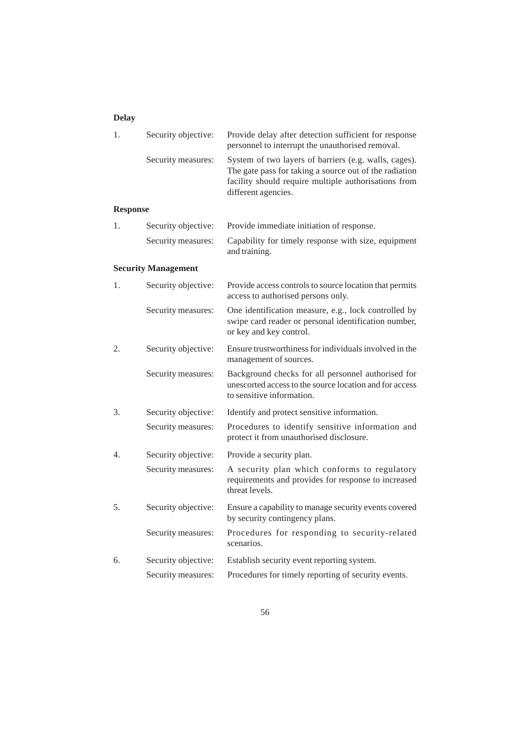## **Delay**

| 1. | Security objective: | Provide delay after detection sufficient for response<br>personnel to interrupt the unauthorised removal.                                                                                      |
|----|---------------------|------------------------------------------------------------------------------------------------------------------------------------------------------------------------------------------------|
|    | Security measures:  | System of two layers of barriers (e.g. walls, cages).<br>The gate pass for taking a source out of the radiation<br>facility should require multiple authorisations from<br>different agencies. |

## **Response**

| 1. | Security objective: Provide immediate initiation of response.                           |
|----|-----------------------------------------------------------------------------------------|
|    | Security measures: Capability for timely response with size, equipment<br>and training. |

## **Security Management**

| 1. | Security objective: | Provide access controls to source location that permits<br>access to authorised persons only.                                              |
|----|---------------------|--------------------------------------------------------------------------------------------------------------------------------------------|
|    | Security measures:  | One identification measure, e.g., lock controlled by<br>swipe card reader or personal identification number,<br>or key and key control.    |
| 2. | Security objective: | Ensure trustworthiness for individuals involved in the<br>management of sources.                                                           |
|    | Security measures:  | Background checks for all personnel authorised for<br>unescorted access to the source location and for access<br>to sensitive information. |
| 3. | Security objective: | Identify and protect sensitive information.                                                                                                |
|    | Security measures:  | Procedures to identify sensitive information and<br>protect it from unauthorised disclosure.                                               |
| 4. | Security objective: | Provide a security plan.                                                                                                                   |
|    | Security measures:  | A security plan which conforms to regulatory<br>requirements and provides for response to increased<br>threat levels.                      |
| 5. | Security objective: | Ensure a capability to manage security events covered<br>by security contingency plans.                                                    |
|    | Security measures:  | Procedures for responding to security-related<br>scenarios.                                                                                |
| 6. | Security objective: | Establish security event reporting system.                                                                                                 |
|    | Security measures:  | Procedures for timely reporting of security events.                                                                                        |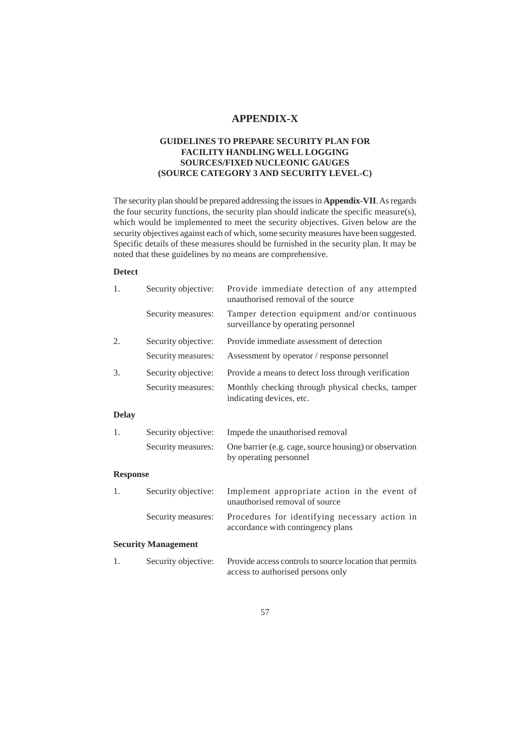## **APPENDIX-X**

## **GUIDELINES TO PREPARE SECURITY PLAN FOR FACILITY HANDLING WELL LOGGING SOURCES/FIXED NUCLEONIC GAUGES (SOURCE CATEGORY 3 AND SECURITY LEVEL-C)**

The security plan should be prepared addressing the issues in **Appendix-VII**. As regards the four security functions, the security plan should indicate the specific measure(s), which would be implemented to meet the security objectives. Given below are the security objectives against each of which, some security measures have been suggested. Specific details of these measures should be furnished in the security plan. It may be noted that these guidelines by no means are comprehensive.

## **Detect**

| 1.              | Security objective:        | Provide immediate detection of any attempted<br>unauthorised removal of the source           |
|-----------------|----------------------------|----------------------------------------------------------------------------------------------|
|                 | Security measures:         | Tamper detection equipment and/or continuous<br>surveillance by operating personnel          |
| 2.              | Security objective:        | Provide immediate assessment of detection                                                    |
|                 | Security measures:         | Assessment by operator / response personnel                                                  |
| 3.              | Security objective:        | Provide a means to detect loss through verification                                          |
|                 | Security measures:         | Monthly checking through physical checks, tamper<br>indicating devices, etc.                 |
| <b>Delay</b>    |                            |                                                                                              |
| 1.              | Security objective:        | Impede the unauthorised removal                                                              |
|                 | Security measures:         | One barrier (e.g. cage, source housing) or observation<br>by operating personnel             |
| <b>Response</b> |                            |                                                                                              |
| 1.              | Security objective:        | Implement appropriate action in the event of<br>unauthorised removal of source               |
|                 | Security measures:         | Procedures for identifying necessary action in<br>accordance with contingency plans          |
|                 | <b>Security Management</b> |                                                                                              |
| 1.              | Security objective:        | Provide access controls to source location that permits<br>access to authorised persons only |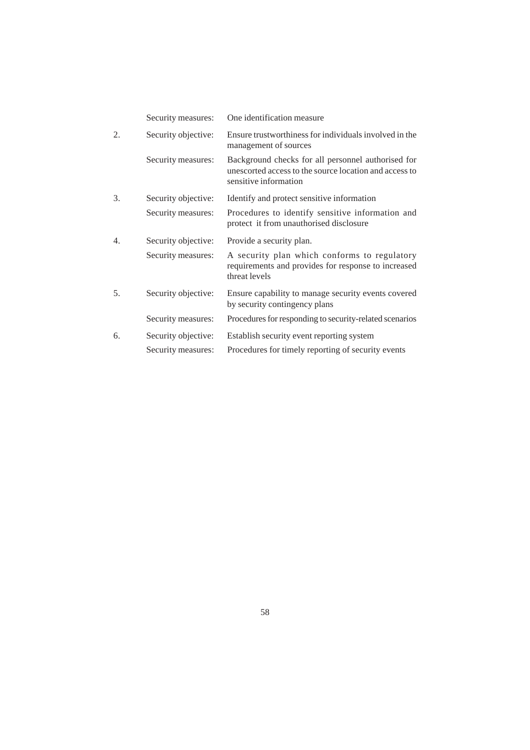|    | Security measures:  | One identification measure                                                                                                            |
|----|---------------------|---------------------------------------------------------------------------------------------------------------------------------------|
| 2. | Security objective: | Ensure trustworthiness for individuals involved in the<br>management of sources                                                       |
|    | Security measures:  | Background checks for all personnel authorised for<br>unescorted access to the source location and access to<br>sensitive information |
| 3. | Security objective: | Identify and protect sensitive information                                                                                            |
|    | Security measures:  | Procedures to identify sensitive information and<br>protect it from unauthorised disclosure                                           |
|    |                     |                                                                                                                                       |
| 4. | Security objective: | Provide a security plan.                                                                                                              |
|    | Security measures:  | A security plan which conforms to regulatory<br>requirements and provides for response to increased<br>threat levels                  |
| 5. | Security objective: | Ensure capability to manage security events covered<br>by security contingency plans                                                  |
|    | Security measures:  | Procedures for responding to security-related scenarios                                                                               |
| 6. | Security objective: | Establish security event reporting system                                                                                             |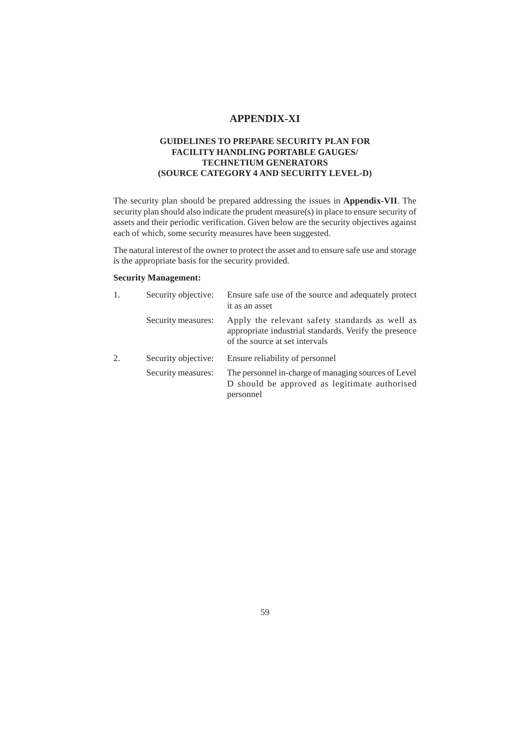## **APPENDIX-XI**

## **GUIDELINES TO PREPARE SECURITY PLAN FOR FACILITY HANDLING PORTABLE GAUGES/ TECHNETIUM GENERATORS (SOURCE CATEGORY 4 AND SECURITY LEVEL-D)**

The security plan should be prepared addressing the issues in **Appendix-VII**. The security plan should also indicate the prudent measure(s) in place to ensure security of assets and their periodic verification. Given below are the security objectives against each of which, some security measures have been suggested.

The natural interest of the owner to protect the asset and to ensure safe use and storage is the appropriate basis for the security provided.

## **Security Management:**

| 1. | Security objective: | Ensure safe use of the source and adequately protect<br>it as an asset                                                                    |
|----|---------------------|-------------------------------------------------------------------------------------------------------------------------------------------|
|    | Security measures:  | Apply the relevant safety standards as well as<br>appropriate industrial standards. Verify the presence<br>of the source at set intervals |
| 2. | Security objective: | Ensure reliability of personnel                                                                                                           |
|    | Security measures:  | The personnel in-charge of managing sources of Level<br>D should be approved as legitimate authorised<br>personnel                        |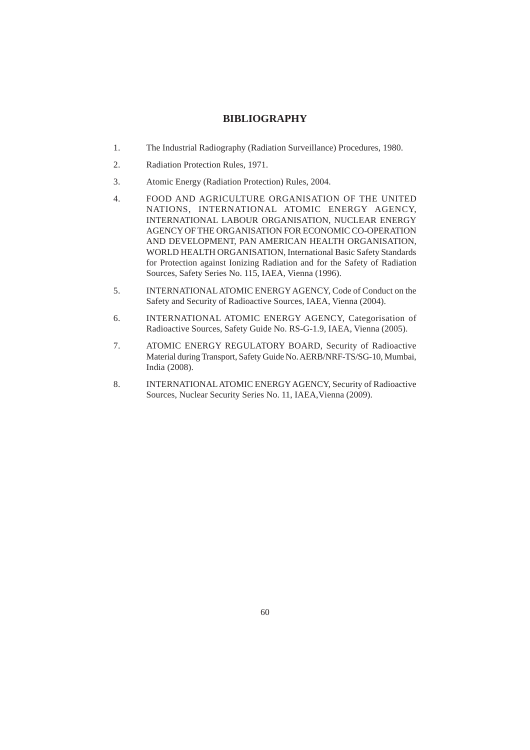## **BIBLIOGRAPHY**

- 1. The Industrial Radiography (Radiation Surveillance) Procedures, 1980.
- 2. Radiation Protection Rules, 1971.
- 3. Atomic Energy (Radiation Protection) Rules, 2004.
- 4. FOOD AND AGRICULTURE ORGANISATION OF THE UNITED NATIONS, INTERNATIONAL ATOMIC ENERGY AGENCY, INTERNATIONAL LABOUR ORGANISATION, NUCLEAR ENERGY AGENCY OF THE ORGANISATION FOR ECONOMIC CO-OPERATION AND DEVELOPMENT, PAN AMERICAN HEALTH ORGANISATION, WORLD HEALTH ORGANISATION, International Basic Safety Standards for Protection against Ionizing Radiation and for the Safety of Radiation Sources, Safety Series No. 115, IAEA, Vienna (1996).
- 5. INTERNATIONAL ATOMIC ENERGY AGENCY, Code of Conduct on the Safety and Security of Radioactive Sources, IAEA, Vienna (2004).
- 6. INTERNATIONAL ATOMIC ENERGY AGENCY, Categorisation of Radioactive Sources, Safety Guide No. RS-G-1.9, IAEA, Vienna (2005).
- 7. ATOMIC ENERGY REGULATORY BOARD, Security of Radioactive Material during Transport, Safety Guide No. AERB/NRF-TS/SG-10, Mumbai, India (2008).
- 8. INTERNATIONAL ATOMIC ENERGY AGENCY, Security of Radioactive Sources, Nuclear Security Series No. 11, IAEA,Vienna (2009).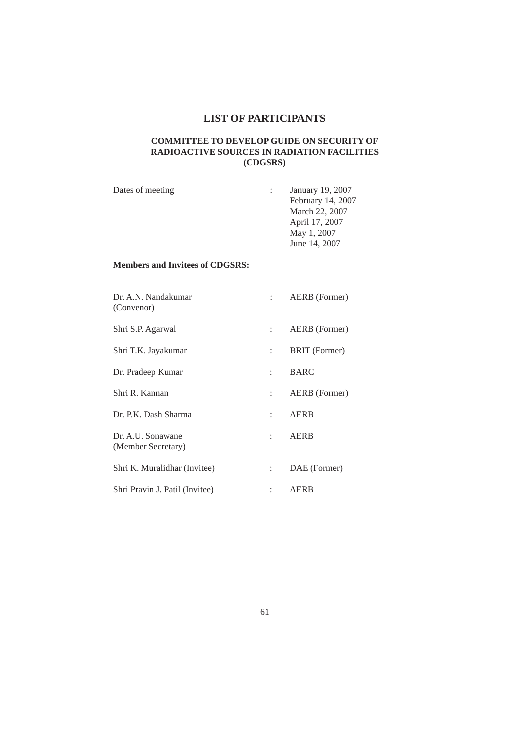## **LIST OF PARTICIPANTS**

## **COMMITTEE TO DEVELOP GUIDE ON SECURITY OF RADIOACTIVE SOURCES IN RADIATION FACILITIES (CDGSRS)**

| Dates of meeting | January 19, 2007  |
|------------------|-------------------|
|                  | February 14, 2007 |
|                  | March 22, 2007    |
|                  | April 17, 2007    |
|                  | May 1, 2007       |
|                  | June 14, 2007     |
|                  |                   |

## **Members and Invitees of CDGSRS:**

| Dr. A.N. Nandakumar<br>(Convenor)       |                           | AERB (Former)        |
|-----------------------------------------|---------------------------|----------------------|
| Shri S.P. Agarwal                       | $\mathbb{R}^{\mathbb{Z}}$ | AERB (Former)        |
| Shri T.K. Jayakumar                     | $\mathbb{Z}^{\mathbb{Z}}$ | <b>BRIT</b> (Former) |
| Dr. Pradeep Kumar                       | t.                        | <b>BARC</b>          |
| Shri R. Kannan                          | t in                      | AERB (Former)        |
| Dr. P.K. Dash Sharma                    | t in                      | AERB                 |
| Dr. A.U. Sonawane<br>(Member Secretary) | t in                      | AERB                 |
| Shri K. Muralidhar (Invitee)            | $\mathbb{R}^n$            | DAE (Former)         |
| Shri Pravin J. Patil (Invitee)          |                           | AERB                 |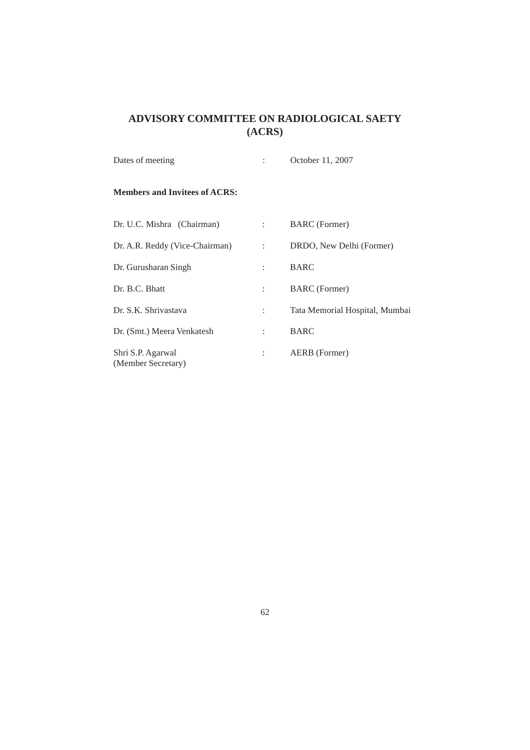## **ADVISORY COMMITTEE ON RADIOLOGICAL SAETY (ACRS)**

| Dates of meeting                        |                   | October 11, 2007               |  |
|-----------------------------------------|-------------------|--------------------------------|--|
| <b>Members and Invitees of ACRS:</b>    |                   |                                |  |
| Dr. U.C. Mishra (Chairman)              | $\mathbb{R}^n$    | <b>BARC</b> (Former)           |  |
| Dr. A.R. Reddy (Vice-Chairman)          | <b>Contractor</b> | DRDO, New Delhi (Former)       |  |
| Dr. Gurusharan Singh                    |                   | <b>BARC</b>                    |  |
| Dr. B.C. Bhatt                          | $\mathbb{R}^n$    | <b>BARC</b> (Former)           |  |
| Dr. S.K. Shrivastava                    | ÷                 | Tata Memorial Hospital, Mumbai |  |
| Dr. (Smt.) Meera Venkatesh              | tion.             | <b>BARC</b>                    |  |
| Shri S.P. Agarwal<br>(Member Secretary) |                   | AERB (Former)                  |  |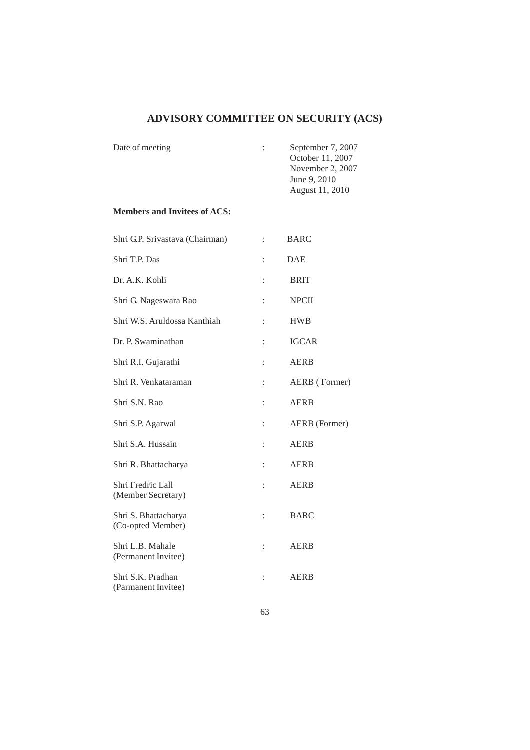# **ADVISORY COMMITTEE ON SECURITY (ACS)**

| Date of meeting | $\mathbb{Z}$ | September 7, 2007 |
|-----------------|--------------|-------------------|
|                 |              | October 11, 2007  |
|                 |              | November 2, 2007  |
|                 |              | June 9, 2010      |
|                 |              | August 11, 2010   |

## **Members and Invitees of ACS:**

| Shri G.P. Srivastava (Chairman)           | $\ddot{\cdot}$       | <b>BARC</b>   |
|-------------------------------------------|----------------------|---------------|
| Shri T.P. Das                             | $\ddot{\cdot}$       | <b>DAE</b>    |
| Dr. A.K. Kohli                            | $\ddot{\phantom{a}}$ | <b>BRIT</b>   |
| Shri G. Nageswara Rao                     | $\ddot{\phantom{a}}$ | <b>NPCIL</b>  |
| Shri W.S. Aruldossa Kanthiah              | $\ddot{\cdot}$       | <b>HWB</b>    |
| Dr. P. Swaminathan                        | $\ddot{\cdot}$       | <b>IGCAR</b>  |
| Shri R.I. Gujarathi                       | $\ddot{\cdot}$       | <b>AERB</b>   |
| Shri R. Venkataraman                      | $\vdots$             | AERB (Former) |
| Shri S.N. Rao                             | $\ddot{\cdot}$       | <b>AERB</b>   |
| Shri S.P. Agarwal                         | $\vdots$             | AERB (Former) |
| Shri S.A. Hussain                         | $\ddot{\cdot}$       | <b>AERB</b>   |
| Shri R. Bhattacharya                      | $\ddot{\cdot}$       | <b>AERB</b>   |
| Shri Fredric Lall<br>(Member Secretary)   | $\ddot{\cdot}$       | <b>AERB</b>   |
| Shri S. Bhattacharya<br>(Co-opted Member) | $\vdots$             | <b>BARC</b>   |
| Shri L.B. Mahale<br>(Permanent Invitee)   | $\ddot{\phantom{a}}$ | <b>AERB</b>   |
| Shri S.K. Pradhan<br>(Parmanent Invitee)  | $\ddot{\cdot}$       | <b>AERB</b>   |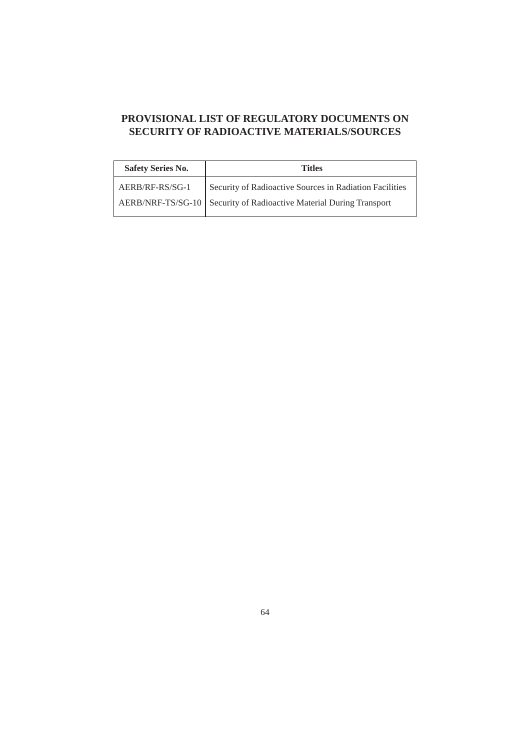## **PROVISIONAL LIST OF REGULATORY DOCUMENTS ON SECURITY OF RADIOACTIVE MATERIALS/SOURCES**

| <b>Safety Series No.</b> | Titles                                                                                                                           |
|--------------------------|----------------------------------------------------------------------------------------------------------------------------------|
| AERB/RF-RS/SG-1          | Security of Radioactive Sources in Radiation Facilities<br>AERB/NRF-TS/SG-10   Security of Radioactive Material During Transport |